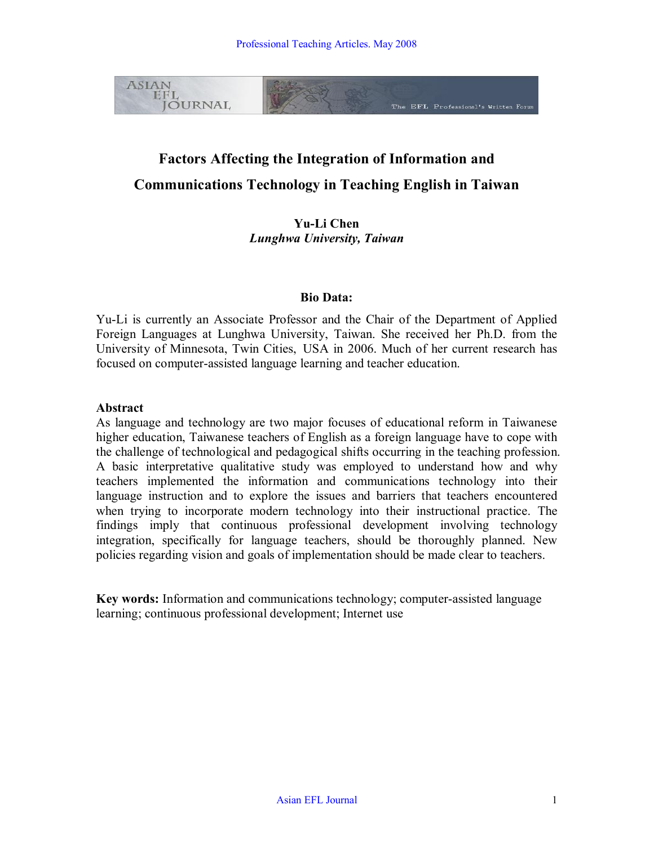

# **Factors Affecting the Integration of Information and Communications Technology in Teaching English in Taiwan**

**Yu-Li Chen** *Lunghwa University, Taiwan*

#### **Bio Data:**

YuLi is currently an Associate Professor and the Chair of the Department of Applied Foreign Languages at Lunghwa University, Taiwan. She received her Ph.D. from the University of Minnesota, Twin Cities, USA in 2006. Much of her current research has focused on computer-assisted language learning and teacher education.

#### **Abstract**

As language and technology are two major focuses of educational reform in Taiwanese higher education, Taiwanese teachers of English as a foreign language have to cope with the challenge of technological and pedagogical shifts occurring in the teaching profession. A basic interpretative qualitative study was employed to understand how and why teachers implemented the information and communications technology into their language instruction and to explore the issues and barriers that teachers encountered when trying to incorporate modern technology into their instructional practice. The findings imply that continuous professional development involving technology integration, specifically for language teachers, should be thoroughly planned. New policies regarding vision and goals of implementation should be made clear to teachers.

Key words: Information and communications technology; computer-assisted language learning; continuous professional development; Internet use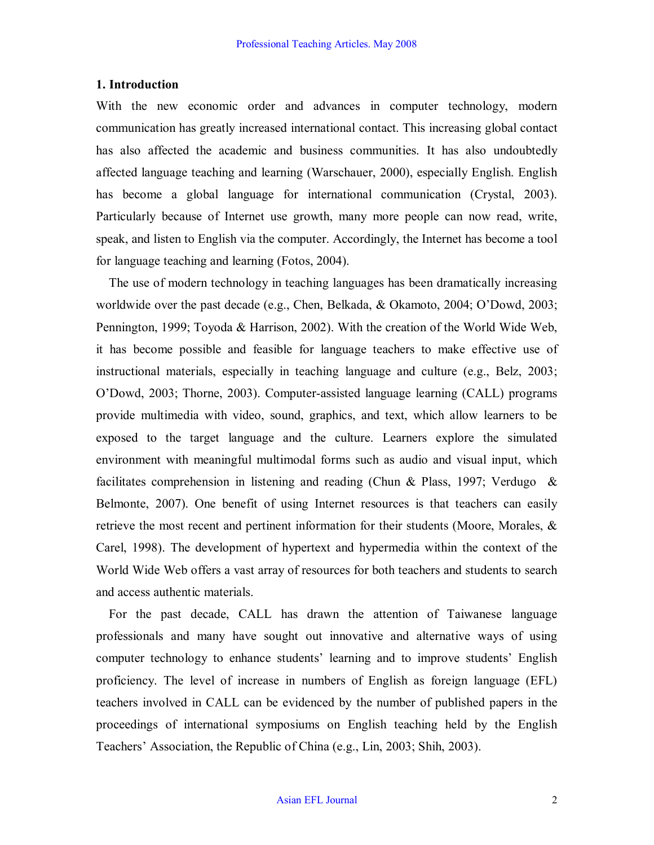#### **1. Introduction**

With the new economic order and advances in computer technology, modern communication has greatly increased international contact. This increasing global contact has also affected the academic and business communities. It has also undoubtedly affected language teaching and learning (Warschauer, 2000), especially English. English has become a global language for international communication (Crystal, 2003). Particularly because of Internet use growth, many more people can now read, write, speak, and listen to English via the computer. Accordingly, the Internet has become a tool for language teaching and learning (Fotos, 2004).

The use of modern technology in teaching languages has been dramatically increasing worldwide over the past decade (e.g., Chen, Belkada, & Okamoto, 2004; O'Dowd, 2003; Pennington, 1999; Toyoda & Harrison, 2002). With the creation of the World Wide Web, it has become possible and feasible for language teachers to make effective use of instructional materials, especially in teaching language and culture (e.g., Belz, 2003; O'Dowd, 2003; Thorne, 2003). Computer-assisted language learning (CALL) programs provide multimedia with video, sound, graphics, and text, which allow learners to be exposed to the target language and the culture. Learners explore the simulated environment with meaningful multimodal forms such as audio and visual input, which facilitates comprehension in listening and reading (Chun & Plass, 1997; Verdugo & Belmonte, 2007). One benefit of using Internet resources is that teachers can easily retrieve the most recent and pertinent information for their students (Moore, Morales, & Carel, 1998). The development of hypertext and hypermedia within the context of the World Wide Web offers a vast array of resources for both teachers and students to search and access authentic materials.

For the past decade, CALL has drawn the attention of Taiwanese language professionals and many have sought out innovative and alternative ways of using computer technology to enhance students' learning and to improve students' English proficiency. The level of increase in numbers of English as foreign language (EFL) teachers involved in CALL can be evidenced by the number of published papers in the proceedings of international symposiums on English teaching held by the English Teachers' Association, the Republic of China (e.g., Lin, 2003; Shih, 2003).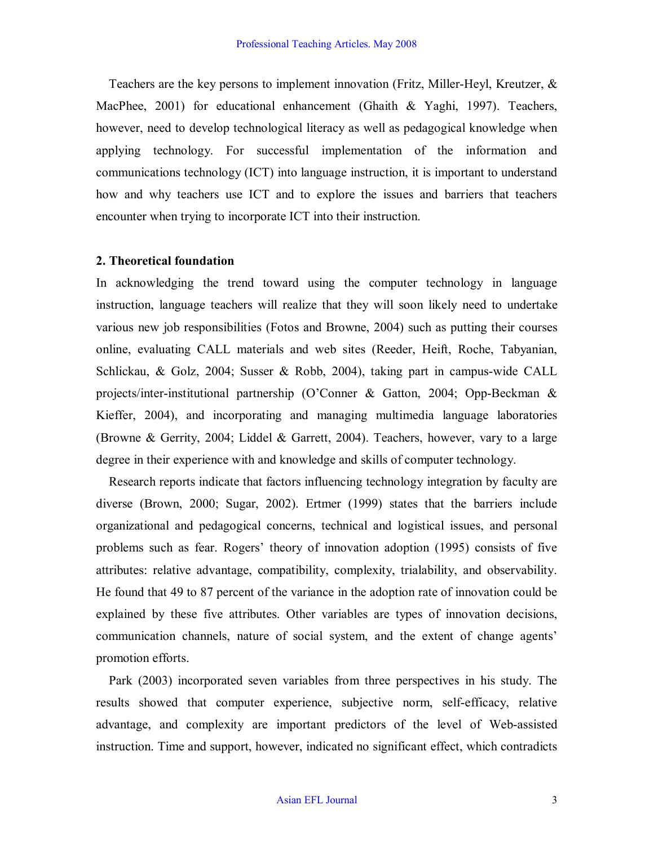Teachers are the key persons to implement innovation (Fritz, Miller-Heyl, Kreutzer,  $\&$ MacPhee, 2001) for educational enhancement (Ghaith & Yaghi, 1997). Teachers, however, need to develop technological literacy as well as pedagogical knowledge when applying technology. For successful implementation of the information and communications technology (ICT) into language instruction, it is important to understand how and why teachers use ICT and to explore the issues and barriers that teachers encounter when trying to incorporate ICT into their instruction.

#### **2. Theoretical foundation**

In acknowledging the trend toward using the computer technology in language instruction, language teachers will realize that they will soon likely need to undertake various new job responsibilities (Fotos and Browne, 2004) such as putting their courses online, evaluating CALL materials and web sites (Reeder, Heift, Roche, Tabyanian, Schlickau, & Golz, 2004; Susser & Robb, 2004), taking part in campus-wide CALL projects/inter-institutional partnership  $(O^{\circ}$ Conner & Gatton, 2004; Opp-Beckman & Kieffer, 2004), and incorporating and managing multimedia language laboratories (Browne & Gerrity, 2004; Liddel & Garrett, 2004). Teachers, however, vary to a large degree in their experience with and knowledge and skills of computer technology.

Research reports indicate that factors influencing technology integration by faculty are diverse (Brown, 2000; Sugar, 2002). Ertmer (1999) states that the barriers include organizational and pedagogical concerns, technical and logistical issues, and personal problems such as fear. Rogers' theory of innovation adoption (1995) consists of five attributes: relative advantage, compatibility, complexity, trialability, and observability. He found that 49 to 87 percent of the variance in the adoption rate of innovation could be explained by these five attributes. Other variables are types of innovation decisions, communication channels, nature of social system, and the extent of change agents' promotion efforts.

Park (2003) incorporated seven variables from three perspectives in his study. The results showed that computer experience, subjective norm, self-efficacy, relative advantage, and complexity are important predictors of the level of Web-assisted instruction. Time and support, however, indicated no significant effect, which contradicts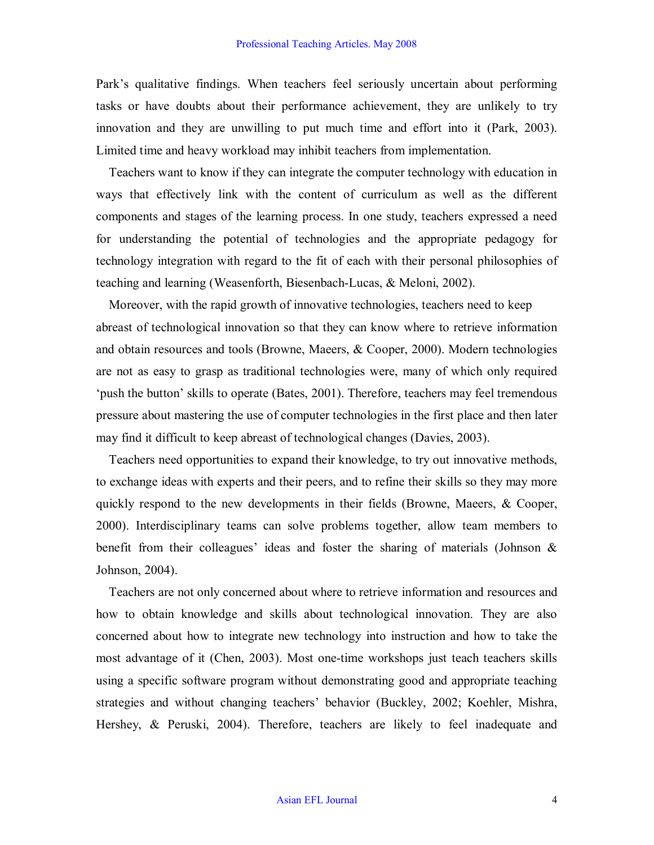Park's qualitative findings. When teachers feel seriously uncertain about performing tasks or have doubts about their performance achievement, they are unlikely to try innovation and they are unwilling to put much time and effort into it (Park, 2003). Limited time and heavy workload may inhibit teachers from implementation.

Teachers want to know if they can integrate the computer technology with education in ways that effectively link with the content of curriculum as well as the different components and stages of the learning process. In one study, teachers expressed a need for understanding the potential of technologies and the appropriate pedagogy for technology integration with regard to the fit of each with their personal philosophies of teaching and learning (Weasenforth, Biesenbach-Lucas, & Meloni, 2002).

Moreover, with the rapid growth of innovative technologies, teachers need to keep abreast of technological innovation so that they can know where to retrieve information and obtain resources and tools (Browne, Maeers, & Cooper, 2000). Modern technologies are not as easy to grasp as traditional technologies were, many of which only required 'push the button' skills to operate (Bates, 2001). Therefore, teachers may feel tremendous pressure about mastering the use of computer technologies in the first place and then later may find it difficult to keep abreast of technological changes (Davies, 2003).

Teachers need opportunities to expand their knowledge, to try out innovative methods, to exchange ideas with experts and their peers, and to refine their skills so they may more quickly respond to the new developments in their fields (Browne, Maeers, & Cooper, 2000). Interdisciplinary teams can solve problems together, allow team members to benefit from their colleagues' ideas and foster the sharing of materials (Johnson  $\&$ Johnson, 2004).

Teachers are not only concerned about where to retrieve information and resources and how to obtain knowledge and skills about technological innovation. They are also concerned about how to integrate new technology into instruction and how to take the most advantage of it (Chen, 2003). Most one-time workshops just teach teachers skills using a specific software program without demonstrating good and appropriate teaching strategies and without changing teachers' behavior (Buckley, 2002; Koehler, Mishra, Hershey, & Peruski, 2004). Therefore, teachers are likely to feel inadequate and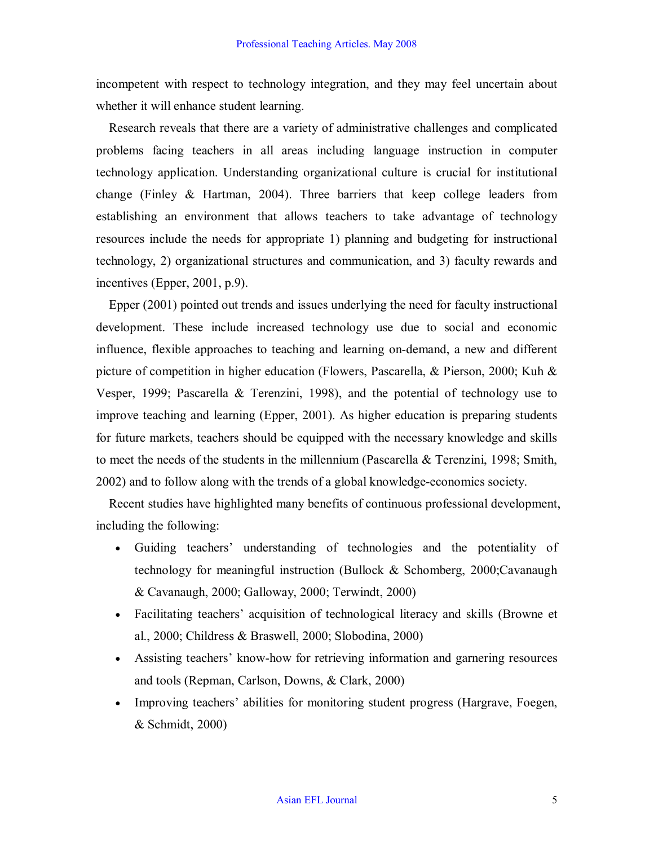incompetent with respect to technology integration, and they may feel uncertain about whether it will enhance student learning.

Research reveals that there are a variety of administrative challenges and complicated problems facing teachers in all areas including language instruction in computer technology application. Understanding organizational culture is crucial for institutional change (Finley  $\&$  Hartman, 2004). Three barriers that keep college leaders from establishing an environment that allows teachers to take advantage of technology resources include the needs for appropriate 1) planning and budgeting for instructional technology, 2) organizational structures and communication, and 3) faculty rewards and incentives (Epper, 2001, p.9).

Epper (2001) pointed out trends and issues underlying the need for faculty instructional development. These include increased technology use due to social and economic influence, flexible approaches to teaching and learning on-demand, a new and different picture of competition in higher education (Flowers, Pascarella, & Pierson, 2000; Kuh & Vesper, 1999; Pascarella & Terenzini, 1998), and the potential of technology use to improve teaching and learning (Epper, 2001). As higher education is preparing students for future markets, teachers should be equipped with the necessary knowledge and skills to meet the needs of the students in the millennium (Pascarella & Terenzini, 1998; Smith, 2002) and to follow along with the trends of a global knowledge-economics society.

Recent studies have highlighted many benefits of continuous professional development, including the following:

- · Guiding teachers' understanding of technologies and the potentiality of technology for meaningful instruction (Bullock & Schomberg, 2000;Cavanaugh & Cavanaugh, 2000; Galloway, 2000; Terwindt, 2000)
- Facilitating teachers' acquisition of technological literacy and skills (Browne et al., 2000; Childress & Braswell, 2000; Slobodina, 2000)
- Assisting teachers' know-how for retrieving information and garnering resources and tools (Repman, Carlson, Downs, & Clark, 2000)
- · Improving teachers' abilities for monitoring student progress (Hargrave, Foegen, & Schmidt, 2000)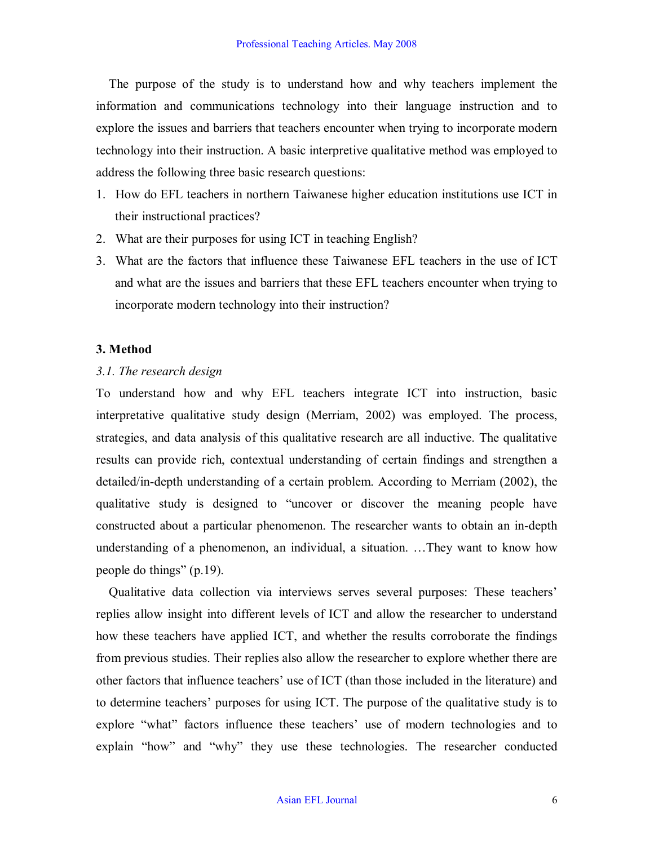The purpose of the study is to understand how and why teachers implement the information and communications technology into their language instruction and to explore the issues and barriers that teachers encounter when trying to incorporate modern technology into their instruction. A basic interpretive qualitative method was employed to address the following three basic research questions:

- 1. How do EFL teachers in northern Taiwanese higher education institutions use ICT in their instructional practices?
- 2. What are their purposes for using ICT in teaching English?
- 3. What are the factors that influence these Taiwanese EFL teachers in the use of ICT and what are the issues and barriers that these EFL teachers encounter when trying to incorporate modern technology into their instruction?

#### **3. Method**

### *3.1. The research design*

To understand how and why EFL teachers integrate ICT into instruction, basic interpretative qualitative study design (Merriam, 2002) was employed. The process, strategies, and data analysis of this qualitative research are all inductive. The qualitative results can provide rich, contextual understanding of certain findings and strengthen a detailed/in-depth understanding of a certain problem. According to Merriam (2002), the qualitative study is designed to "uncover or discover the meaning people have constructed about a particular phenomenon. The researcher wants to obtain an in-depth understanding of a phenomenon, an individual, a situation. …They want to know how people do things" (p.19).

Qualitative data collection via interviews serves several purposes: These teachers' replies allow insight into different levels of ICT and allow the researcher to understand how these teachers have applied ICT, and whether the results corroborate the findings from previous studies. Their replies also allow the researcher to explore whether there are other factors that influence teachers' use of ICT (than those included in the literature) and to determine teachers' purposes for using ICT. The purpose of the qualitative study is to explore "what" factors influence these teachers' use of modern technologies and to explain "how" and "why" they use these technologies. The researcher conducted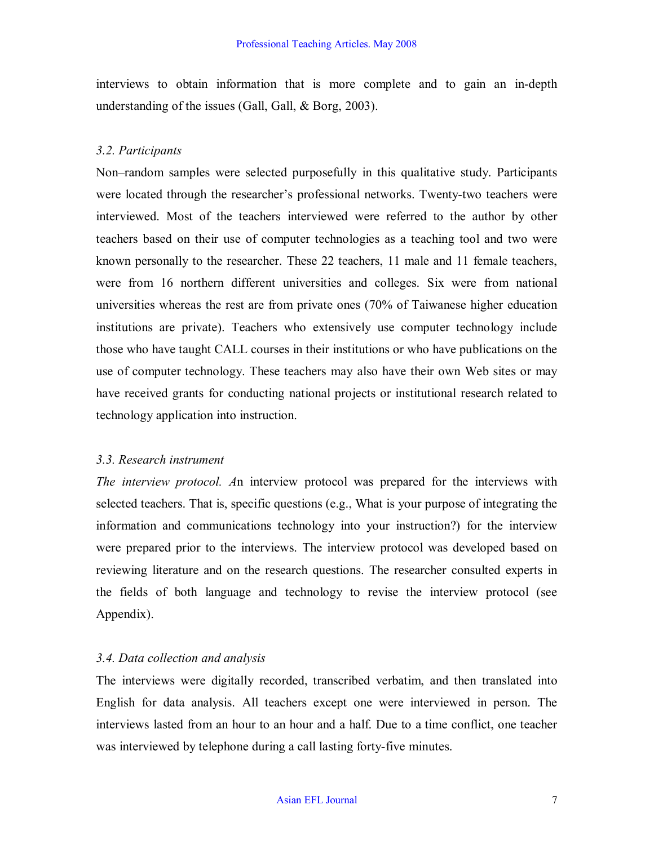interviews to obtain information that is more complete and to gain an indepth understanding of the issues (Gall, Gall, & Borg, 2003).

## *3.2. Participants*

Non–random samples were selected purposefully in this qualitative study. Participants were located through the researcher's professional networks. Twenty-two teachers were interviewed. Most of the teachers interviewed were referred to the author by other teachers based on their use of computer technologies as a teaching tool and two were known personally to the researcher. These 22 teachers, 11 male and 11 female teachers, were from 16 northern different universities and colleges. Six were from national universities whereas the rest are from private ones (70% of Taiwanese higher education institutions are private). Teachers who extensively use computer technology include those who have taught CALL courses in their institutions or who have publications on the use of computer technology. These teachers may also have their own Web sites or may have received grants for conducting national projects or institutional research related to technology application into instruction.

## *3.3. Research instrument*

*The interview protocol. A*n interview protocol was prepared for the interviews with selected teachers. That is, specific questions (e.g., What is your purpose of integrating the information and communications technology into your instruction?) for the interview were prepared prior to the interviews. The interview protocol was developed based on reviewing literature and on the research questions. The researcher consulted experts in the fields of both language and technology to revise the interview protocol (see Appendix).

## *3.4. Data collection and analysis*

The interviews were digitally recorded, transcribed verbatim, and then translated into English for data analysis. All teachers except one were interviewed in person. The interviews lasted from an hour to an hour and a half. Due to a time conflict, one teacher was interviewed by telephone during a call lasting forty-five minutes.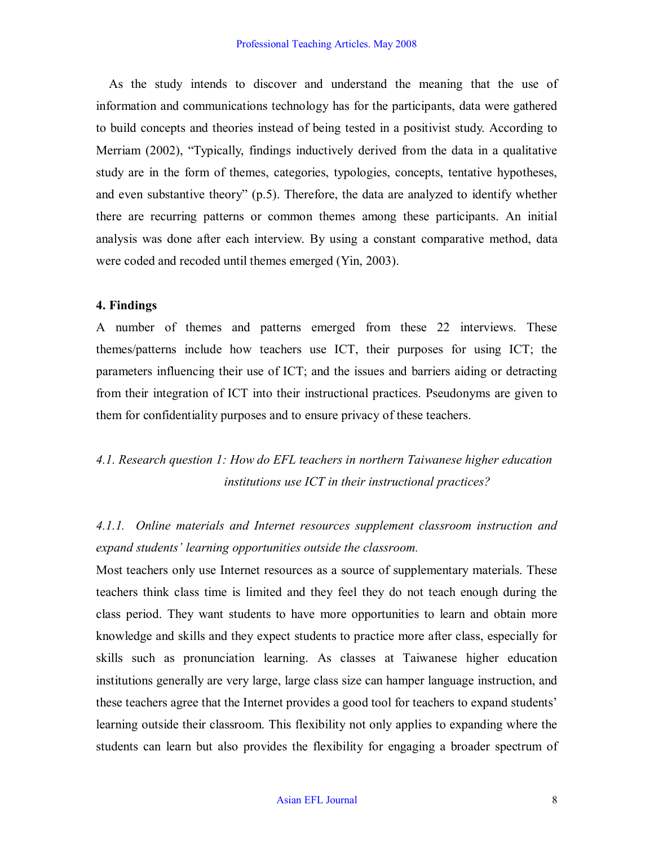As the study intends to discover and understand the meaning that the use of information and communications technology has for the participants, data were gathered to build concepts and theories instead of being tested in a positivist study. According to Merriam (2002), "Typically, findings inductively derived from the data in a qualitative study are in the form of themes, categories, typologies, concepts, tentative hypotheses, and even substantive theory" (p.5). Therefore, the data are analyzed to identify whether there are recurring patterns or common themes among these participants. An initial analysis was done after each interview. By using a constant comparative method, data were coded and recoded until themes emerged (Yin, 2003).

### **4. Findings**

A number of themes and patterns emerged from these 22 interviews. These themes/patterns include how teachers use ICT, their purposes for using ICT; the parameters influencing their use of ICT; and the issues and barriers aiding or detracting from their integration of ICT into their instructional practices. Pseudonyms are given to them for confidentiality purposes and to ensure privacy of these teachers.

## *4.1. Research question 1: How do EFL teachers in northern Taiwanese higher education institutions use ICT in their instructional practices?*

*4.1.1. Online materials and Internet resources supplement classroom instruction and expand students' learning opportunities outside the classroom.*

Most teachers only use Internet resources as a source of supplementary materials. These teachers think class time is limited and they feel they do not teach enough during the class period. They want students to have more opportunities to learn and obtain more knowledge and skills and they expect students to practice more after class, especially for skills such as pronunciation learning. As classes at Taiwanese higher education institutions generally are very large, large class size can hamper language instruction, and these teachers agree that the Internet provides a good tool for teachers to expand students' learning outside their classroom. This flexibility not only applies to expanding where the students can learn but also provides the flexibility for engaging a broader spectrum of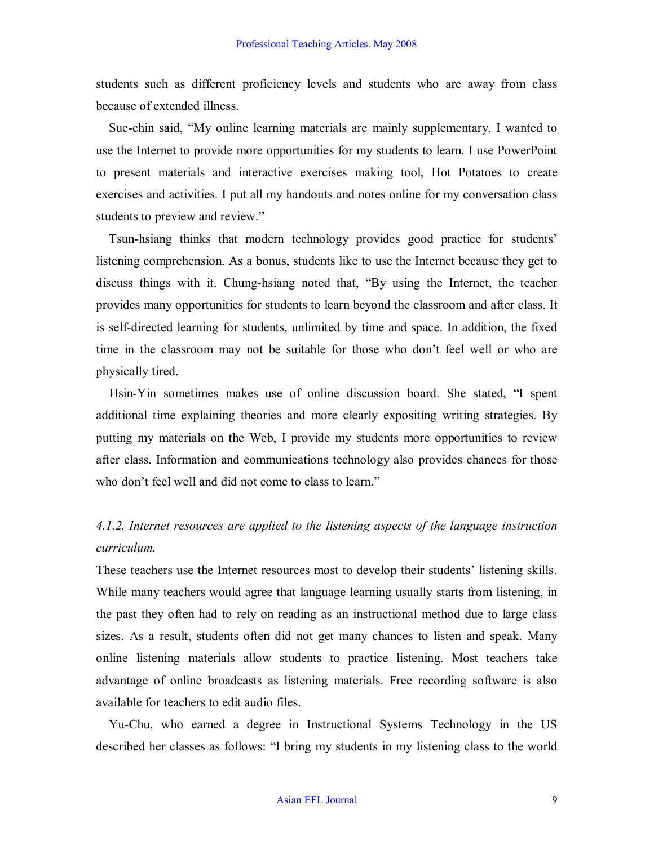students such as different proficiency levels and students who are away from class because of extended illness.

Sue-chin said, "My online learning materials are mainly supplementary. I wanted to use the Internet to provide more opportunities for my students to learn. I use PowerPoint to present materials and interactive exercises making tool, Hot Potatoes to create exercises and activities. I put all my handouts and notes online for my conversation class students to preview and review."

Tsun-hisang thinks that modern technology provides good practice for students' listening comprehension. As a bonus, students like to use the Internet because they get to discuss things with it. Chung-hsiang noted that, "By using the Internet, the teacher provides many opportunities for students to learn beyond the classroom and after class. It is self-directed learning for students, unlimited by time and space. In addition, the fixed time in the classroom may not be suitable for those who don't feel well or who are physically tired.

Hsin-Yin sometimes makes use of online discussion board. She stated, "I spent additional time explaining theories and more clearly expositing writing strategies. By putting my materials on the Web, I provide my students more opportunities to review after class. Information and communications technology also provides chances for those who don't feel well and did not come to class to learn."

## *4.1.2. Internet resources are applied to the listening aspects of the language instruction curriculum.*

These teachers use the Internet resources most to develop their students' listening skills. While many teachers would agree that language learning usually starts from listening, in the past they often had to rely on reading as an instructional method due to large class sizes. As a result, students often did not get many chances to listen and speak. Many online listening materials allow students to practice listening. Most teachers take advantage of online broadcasts as listening materials. Free recording software is also available for teachers to edit audio files.

YuChu, who earned a degree in Instructional Systems Technology in the US described her classes as follows: "I bring my students in my listening class to the world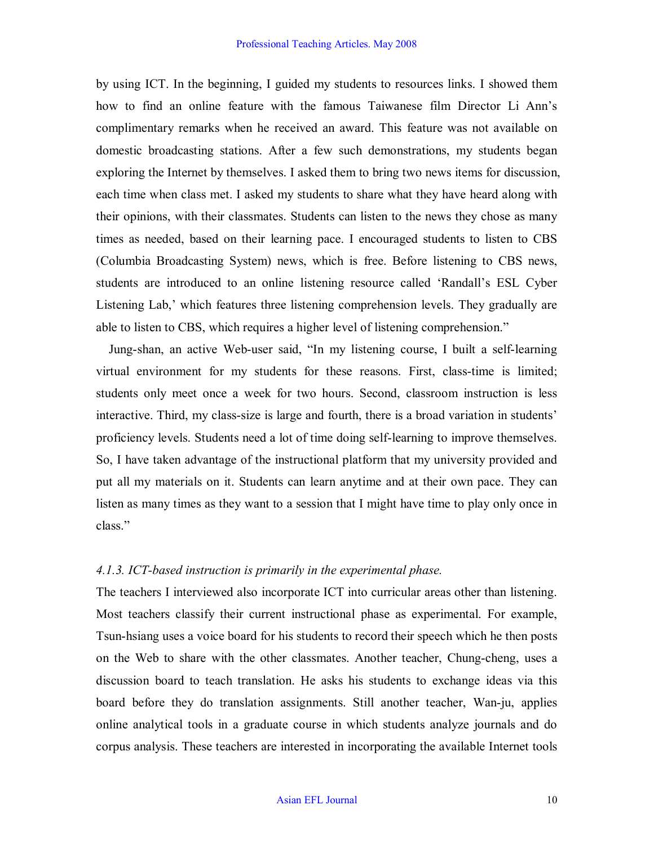by using ICT. In the beginning, I guided my students to resources links. I showed them how to find an online feature with the famous Taiwanese film Director Li Ann's complimentary remarks when he received an award. This feature was not available on domestic broadcasting stations. After a few such demonstrations, my students began exploring the Internet by themselves. I asked them to bring two news items for discussion, each time when class met. I asked my students to share what they have heard along with their opinions, with their classmates. Students can listen to the news they chose as many times as needed, based on their learning pace. I encouraged students to listen to CBS (Columbia Broadcasting System) news, which is free. Before listening to CBS news, students are introduced to an online listening resource called 'Randall's ESL Cyber Listening Lab,' which features three listening comprehension levels. They gradually are able to listen to CBS, which requires a higher level of listening comprehension."

Jung-shan, an active Web-user said, "In my listening course, I built a self-learning virtual environment for my students for these reasons. First, classtime is limited; students only meet once a week for two hours. Second, classroom instruction is less interactive. Third, my class-size is large and fourth, there is a broad variation in students' proficiency levels. Students need a lot of time doing self-learning to improve themselves. So, I have taken advantage of the instructional platform that my university provided and put all my materials on it. Students can learn anytime and at their own pace. They can listen as many times as they want to a session that I might have time to play only once in class."

#### *4.1.3. ICTbased instruction is primarily in the experimental phase.*

The teachers I interviewed also incorporate ICT into curricular areas other than listening. Most teachers classify their current instructional phase as experimental. For example, Tsun-hsiang uses a voice board for his students to record their speech which he then posts on the Web to share with the other classmates. Another teacher, Chung-cheng, uses a discussion board to teach translation. He asks his students to exchange ideas via this board before they do translation assignments. Still another teacher, Wan-ju, applies online analytical tools in a graduate course in which students analyze journals and do corpus analysis. These teachers are interested in incorporating the available Internet tools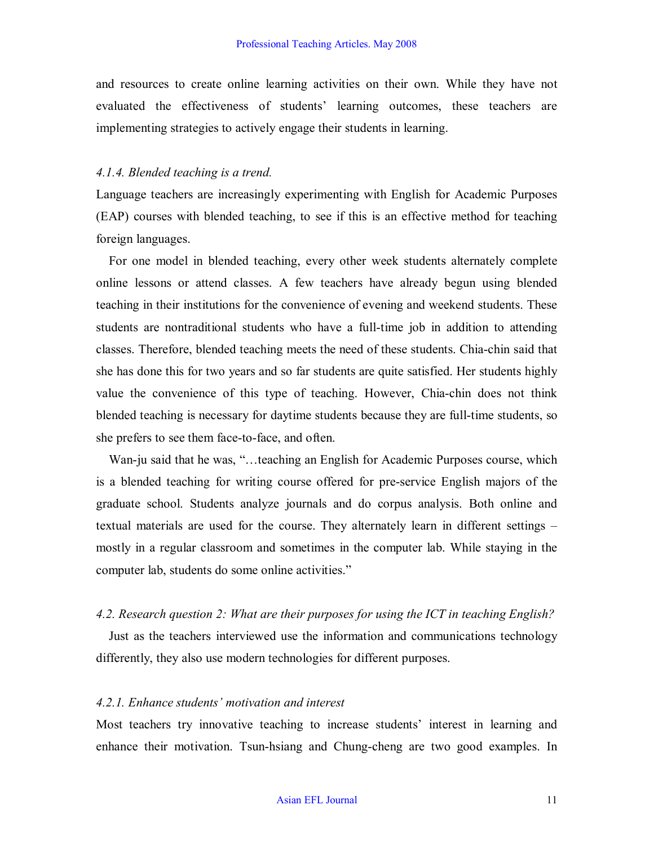and resources to create online learning activities on their own. While they have not evaluated the effectiveness of students' learning outcomes, these teachers are implementing strategies to actively engage their students in learning.

#### *4.1.4. Blended teaching is a trend.*

Language teachers are increasingly experimenting with English for Academic Purposes (EAP) courses with blended teaching, to see if this is an effective method for teaching foreign languages.

For one model in blended teaching, every other week students alternately complete online lessons or attend classes. A few teachers have already begun using blended teaching in their institutions for the convenience of evening and weekend students. These students are nontraditional students who have a full-time job in addition to attending classes. Therefore, blended teaching meets the need of these students. Chia-chin said that she has done this for two years and so far students are quite satisfied. Her students highly value the convenience of this type of teaching. However, Chia-chin does not think blended teaching is necessary for daytime students because they are full-time students, so she prefers to see them face-to-face, and often.

Wan-ju said that he was, "…teaching an English for Academic Purposes course, which is a blended teaching for writing course offered for preservice English majors of the graduate school. Students analyze journals and do corpus analysis. Both online and textual materials are used for the course. They alternately learn in different settings – mostly in a regular classroom and sometimes in the computer lab. While staying in the computer lab, students do some online activities."

## *4.2. Research question 2: What are their purposes for using the ICT in teaching English?*

Just as the teachers interviewed use the information and communications technology differently, they also use modern technologies for different purposes.

#### *4.2.1. Enhance students' motivation and interest*

Most teachers try innovative teaching to increase students' interest in learning and enhance their motivation. Tsun-hsiang and Chung-cheng are two good examples. In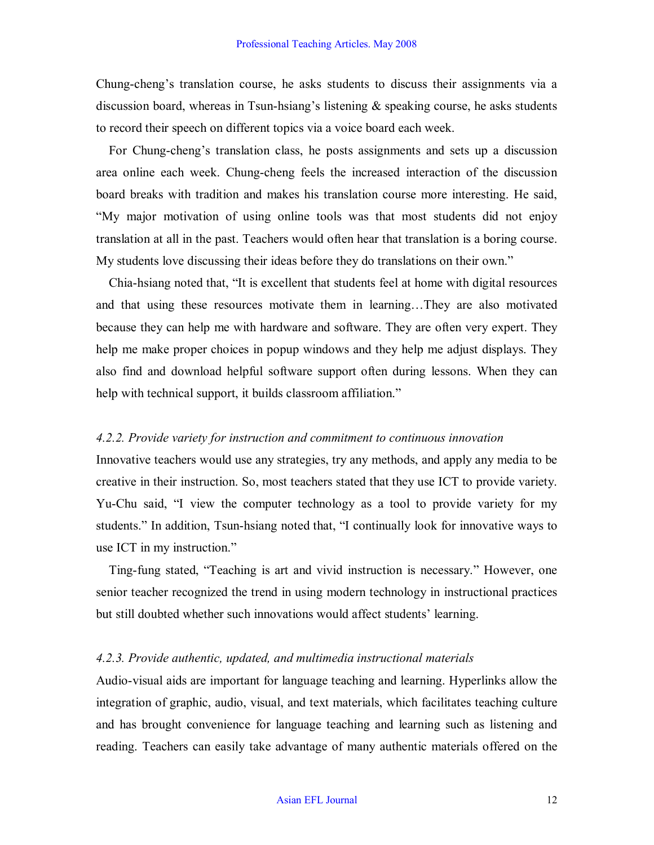Chung-cheng's translation course, he asks students to discuss their assignments via a discussion board, whereas in Tsun-hsiang's listening  $\&$  speaking course, he asks students to record their speech on different topics via a voice board each week.

For Chung-cheng's translation class, he posts assignments and sets up a discussion area online each week. Chung-cheng feels the increased interaction of the discussion board breaks with tradition and makes his translation course more interesting. He said, "My major motivation of using online tools was that most students did not enjoy translation at all in the past. Teachers would often hear that translation is a boring course. My students love discussing their ideas before they do translations on their own."

Chia-hsiang noted that, "It is excellent that students feel at home with digital resources and that using these resources motivate them in learning…They are also motivated because they can help me with hardware and software. They are often very expert. They help me make proper choices in popup windows and they help me adjust displays. They also find and download helpful software support often during lessons. When they can help with technical support, it builds classroom affiliation."

#### *4.2.2. Provide variety for instruction and commitment to continuous innovation*

Innovative teachers would use any strategies, try any methods, and apply any media to be creative in their instruction. So, most teachers stated that they use ICT to provide variety. Yu-Chu said, "I view the computer technology as a tool to provide variety for my students." In addition, Tsun-hsiang noted that, "I continually look for innovative ways to use ICT in my instruction."

Ting-fung stated, "Teaching is art and vivid instruction is necessary." However, one senior teacher recognized the trend in using modern technology in instructional practices but still doubted whether such innovations would affect students' learning.

#### *4.2.3. Provide authentic, updated, and multimedia instructional materials*

Audio-visual aids are important for language teaching and learning. Hyperlinks allow the integration of graphic, audio, visual, and text materials, which facilitates teaching culture and has brought convenience for language teaching and learning such as listening and reading. Teachers can easily take advantage of many authentic materials offered on the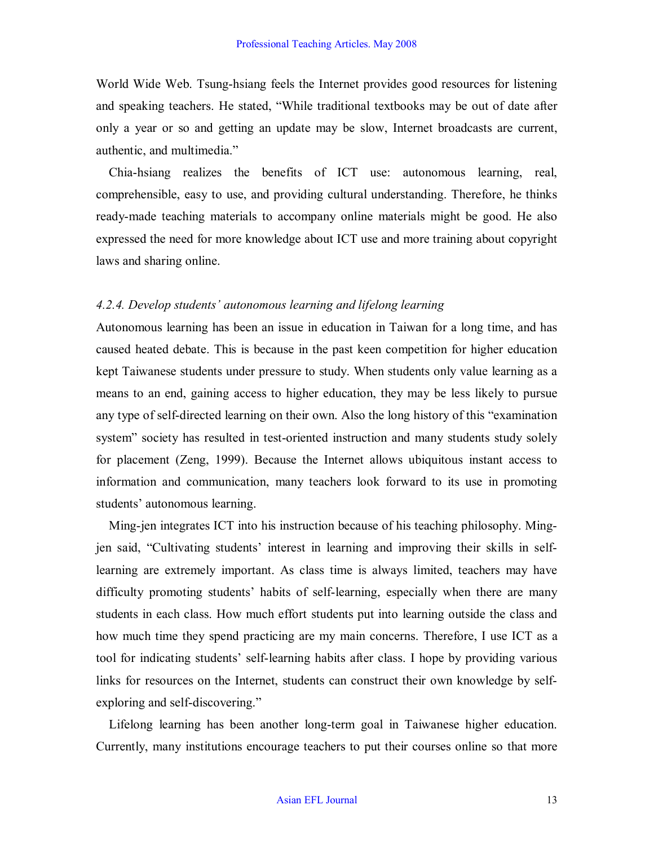World Wide Web. Tsung-hsiang feels the Internet provides good resources for listening and speaking teachers. He stated, "While traditional textbooks may be out of date after only a year or so and getting an update may be slow, Internet broadcasts are current, authentic, and multimedia."

Chia-hsiang realizes the benefits of ICT use: autonomous learning, real, comprehensible, easy to use, and providing cultural understanding. Therefore, he thinks ready-made teaching materials to accompany online materials might be good. He also expressed the need for more knowledge about ICT use and more training about copyright laws and sharing online.

#### *4.2.4. Develop students' autonomous learning and lifelong learning*

Autonomous learning has been an issue in education in Taiwan for a long time, and has caused heated debate. This is because in the past keen competition for higher education kept Taiwanese students under pressure to study. When students only value learning as a means to an end, gaining access to higher education, they may be less likely to pursue any type of self-directed learning on their own. Also the long history of this "examination" system" society has resulted in test-oriented instruction and many students study solely for placement (Zeng, 1999). Because the Internet allows ubiquitous instant access to information and communication, many teachers look forward to its use in promoting students' autonomous learning.

Ming-jen integrates ICT into his instruction because of his teaching philosophy. Mingjen said, "Cultivating students' interest in learning and improving their skills in selflearning are extremely important. As class time is always limited, teachers may have difficulty promoting students' habits of self-learning, especially when there are many students in each class. How much effort students put into learning outside the class and how much time they spend practicing are my main concerns. Therefore, I use ICT as a tool for indicating students' self-learning habits after class. I hope by providing various links for resources on the Internet, students can construct their own knowledge by selfexploring and self-discovering."

Lifelong learning has been another long-term goal in Taiwanese higher education. Currently, many institutions encourage teachers to put their courses online so that more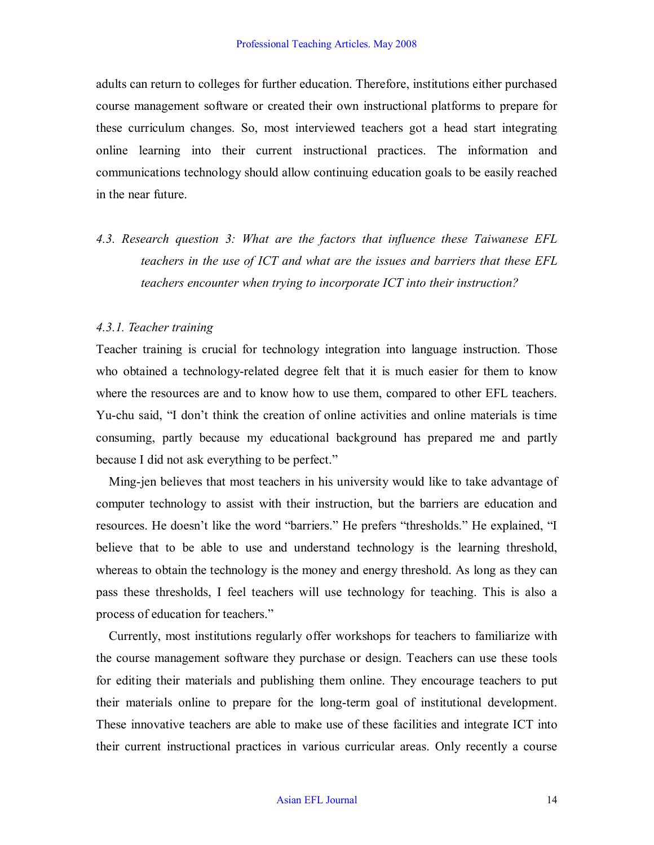adults can return to colleges for further education. Therefore, institutions either purchased course management software or created their own instructional platforms to prepare for these curriculum changes. So, most interviewed teachers got a head start integrating online learning into their current instructional practices. The information and communications technology should allow continuing education goals to be easily reached in the near future.

*4.3. Research question 3: What are the factors that influence these Taiwanese EFL teachers in the use of ICT and what are the issues and barriers that these EFL teachers encounter when trying to incorporate ICT into their instruction?* 

#### *4.3.1. Teacher training*

Teacher training is crucial for technology integration into language instruction. Those who obtained a technology-related degree felt that it is much easier for them to know where the resources are and to know how to use them, compared to other EFL teachers. Yuchu said, "I don't think the creation of online activities and online materials is time consuming, partly because my educational background has prepared me and partly because I did not ask everything to be perfect."

Ming-jen believes that most teachers in his university would like to take advantage of computer technology to assist with their instruction, but the barriers are education and resources. He doesn't like the word "barriers." He prefers "thresholds." He explained, "I believe that to be able to use and understand technology is the learning threshold, whereas to obtain the technology is the money and energy threshold. As long as they can pass these thresholds, I feel teachers will use technology for teaching. This is also a process of education for teachers."

Currently, most institutions regularly offer workshops for teachers to familiarize with the course management software they purchase or design. Teachers can use these tools for editing their materials and publishing them online. They encourage teachers to put their materials online to prepare for the long-term goal of institutional development. These innovative teachers are able to make use of these facilities and integrate ICT into their current instructional practices in various curricular areas. Only recently a course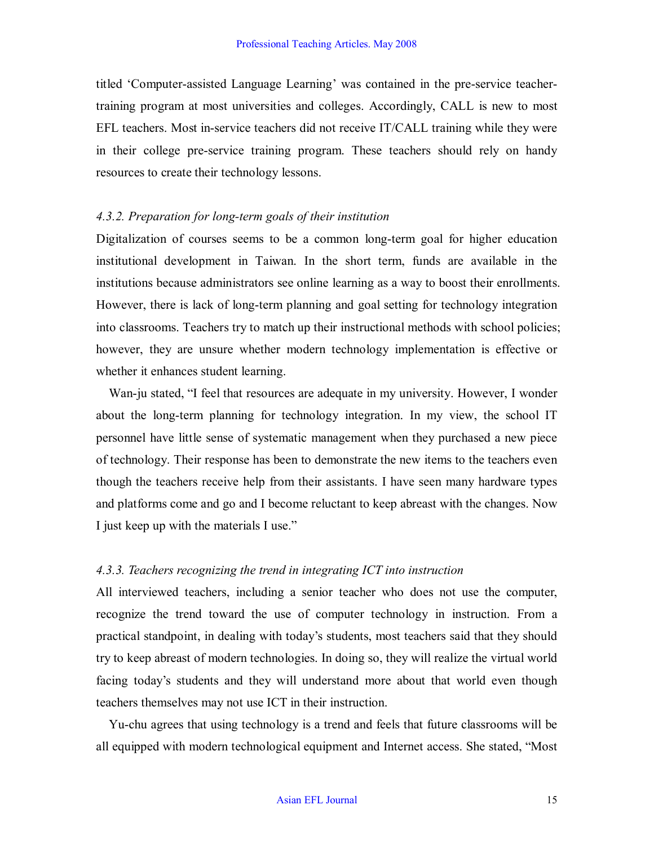titled 'Computer-assisted Language Learning' was contained in the pre-service teachertraining program at most universities and colleges. Accordingly, CALL is new to most EFL teachers. Most in-service teachers did not receive  $IT/CALL$  training while they were in their college pre-service training program. These teachers should rely on handy resources to create their technology lessons.

#### *A.3.2. Preparation for long-term goals of their institution*

Digitalization of courses seems to be a common long-term goal for higher education institutional development in Taiwan. In the short term, funds are available in the institutions because administrators see online learning as a way to boost their enrollments. However, there is lack of long-term planning and goal setting for technology integration into classrooms. Teachers try to match up their instructional methods with school policies; however, they are unsure whether modern technology implementation is effective or whether it enhances student learning.

Wan-ju stated, "I feel that resources are adequate in my university. However, I wonder about the long-term planning for technology integration. In my view, the school IT personnel have little sense of systematic management when they purchased a new piece of technology. Their response has been to demonstrate the new items to the teachers even though the teachers receive help from their assistants. I have seen many hardware types and platforms come and go and I become reluctant to keep abreast with the changes. Now I just keep up with the materials I use."

#### *4.3.3. Teachers recognizing the trend in integrating ICT into instruction*

All interviewed teachers, including a senior teacher who does not use the computer, recognize the trend toward the use of computer technology in instruction. From a practical standpoint, in dealing with today's students, most teachers said that they should try to keep abreast of modern technologies. In doing so, they will realize the virtual world facing today's students and they will understand more about that world even though teachers themselves may not use ICT in their instruction.

Yuchu agrees that using technology is a trend and feels that future classrooms will be all equipped with modern technological equipment and Internet access. She stated, "Most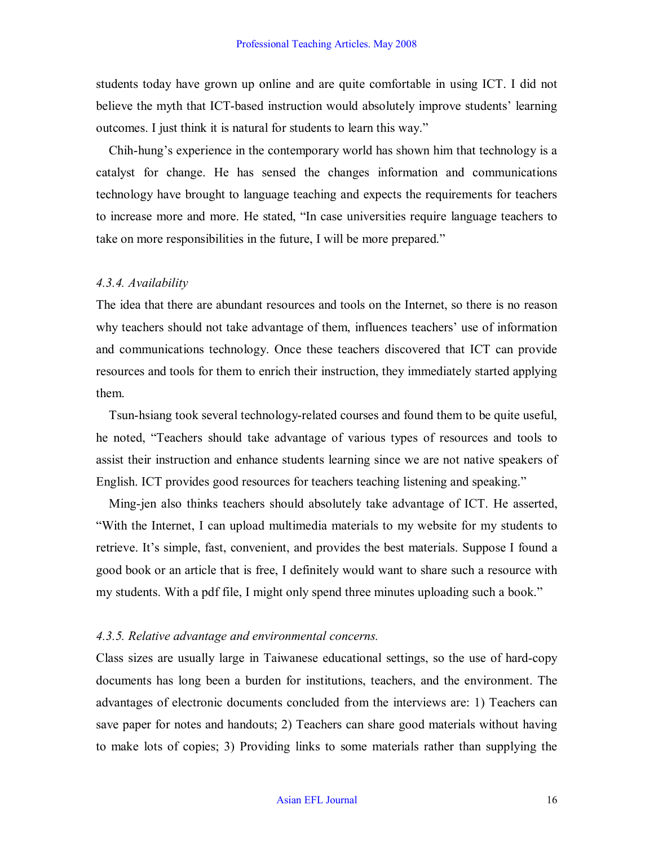students today have grown up online and are quite comfortable in using ICT. I did not believe the myth that ICT-based instruction would absolutely improve students' learning outcomes. I just think it is natural for students to learn this way."

Chihhung's experience in the contemporary world has shown him that technology is a catalyst for change. He has sensed the changes information and communications technology have brought to language teaching and expects the requirements for teachers to increase more and more. He stated, "In case universities require language teachers to take on more responsibilities in the future, I will be more prepared."

#### *4.3.4. Availability*

The idea that there are abundant resources and tools on the Internet, so there is no reason why teachers should not take advantage of them, influences teachers' use of information and communications technology. Once these teachers discovered that ICT can provide resources and tools for them to enrich their instruction, they immediately started applying them.

Tsun-hsiang took several technology-related courses and found them to be quite useful, he noted, "Teachers should take advantage of various types of resources and tools to assist their instruction and enhance students learning since we are not native speakers of English. ICT provides good resources for teachers teaching listening and speaking."

Ming-jen also thinks teachers should absolutely take advantage of ICT. He asserted, "With the Internet, I can upload multimedia materials to my website for my students to retrieve. It's simple, fast, convenient, and provides the best materials. Suppose I found a good book or an article that is free, I definitely would want to share such a resource with my students. With a pdf file, I might only spend three minutes uploading such a book."

### *4.3.5. Relative advantage and environmental concerns.*

Class sizes are usually large in Taiwanese educational settings, so the use of hard-copy documents has long been a burden for institutions, teachers, and the environment. The advantages of electronic documents concluded from the interviews are: 1) Teachers can save paper for notes and handouts; 2) Teachers can share good materials without having to make lots of copies; 3) Providing links to some materials rather than supplying the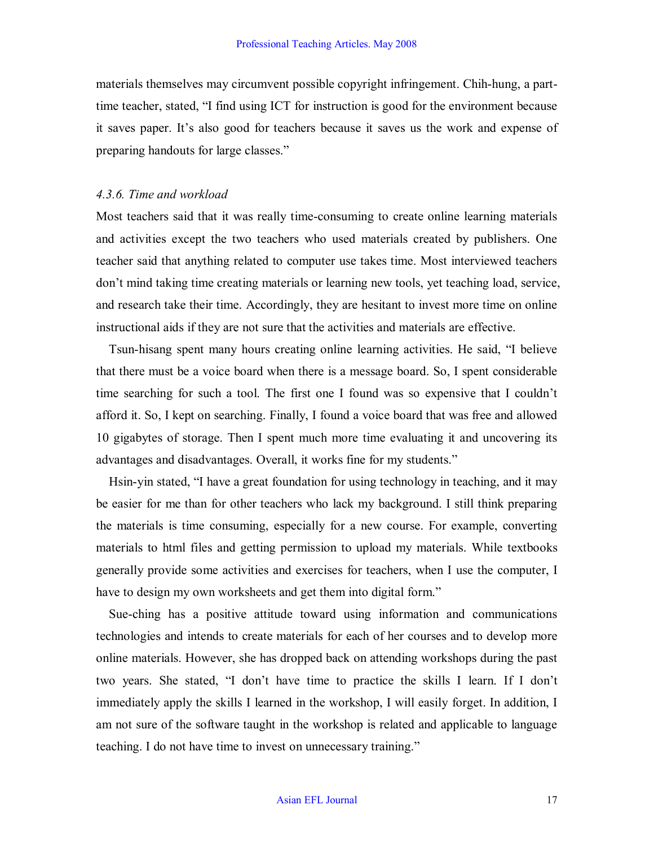materials themselves may circumvent possible copyright infringement. Chih-hung, a parttime teacher, stated, "I find using ICT for instruction is good for the environment because it saves paper. It's also good for teachers because it saves us the work and expense of preparing handouts for large classes."

#### *4.3.6. Time and workload*

Most teachers said that it was really time-consuming to create online learning materials and activities except the two teachers who used materials created by publishers. One teacher said that anything related to computer use takes time. Most interviewed teachers don't mind taking time creating materials or learning new tools, yet teaching load, service, and research take their time. Accordingly, they are hesitant to invest more time on online instructional aids if they are not sure that the activities and materials are effective.

Tsunhisang spent many hours creating online learning activities. He said, "I believe that there must be a voice board when there is a message board. So, I spent considerable time searching for such a tool. The first one I found was so expensive that I couldn't afford it. So, I kept on searching. Finally, I found a voice board that was free and allowed 10 gigabytes of storage. Then I spent much more time evaluating it and uncovering its advantages and disadvantages. Overall, it works fine for my students."

Hsin-yin stated, "I have a great foundation for using technology in teaching, and it may be easier for me than for other teachers who lack my background. I still think preparing the materials is time consuming, especially for a new course. For example, converting materials to html files and getting permission to upload my materials. While textbooks generally provide some activities and exercises for teachers, when I use the computer, I have to design my own worksheets and get them into digital form."

Sue-ching has a positive attitude toward using information and communications technologies and intends to create materials for each of her courses and to develop more online materials. However, she has dropped back on attending workshops during the past two years. She stated, "I don't have time to practice the skills I learn. If I don't immediately apply the skills I learned in the workshop, I will easily forget. In addition, I am not sure of the software taught in the workshop is related and applicable to language teaching. I do not have time to invest on unnecessary training."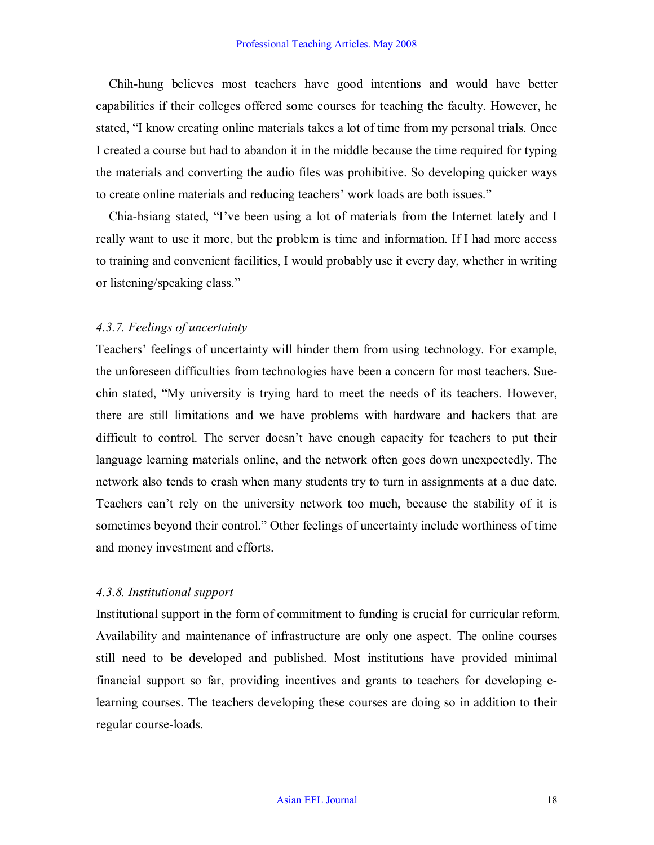Chih-hung believes most teachers have good intentions and would have better capabilities if their colleges offered some courses for teaching the faculty. However, he stated, "I know creating online materials takes a lot of time from my personal trials. Once I created a course but had to abandon it in the middle because the time required for typing the materials and converting the audio files was prohibitive. So developing quicker ways to create online materials and reducing teachers' work loads are both issues."

Chia-hsiang stated, "I've been using a lot of materials from the Internet lately and I really want to use it more, but the problem is time and information. If I had more access to training and convenient facilities, I would probably use it every day, whether in writing or listening/speaking class."

#### *4.3.7. Feelings of uncertainty*

Teachers' feelings of uncertainty will hinder them from using technology. For example, the unforeseen difficulties from technologies have been a concern for most teachers. Suechin stated, "My university is trying hard to meet the needs of its teachers. However, there are still limitations and we have problems with hardware and hackers that are difficult to control. The server doesn't have enough capacity for teachers to put their language learning materials online, and the network often goes down unexpectedly. The network also tends to crash when many students try to turn in assignments at a due date. Teachers can't rely on the university network too much, because the stability of it is sometimes beyond their control." Other feelings of uncertainty include worthiness of time and money investment and efforts.

#### *4.3.8. Institutional support*

Institutional support in the form of commitment to funding is crucial for curricular reform. Availability and maintenance of infrastructure are only one aspect. The online courses still need to be developed and published. Most institutions have provided minimal financial support so far, providing incentives and grants to teachers for developing e learning courses. The teachers developing these courses are doing so in addition to their regular course-loads.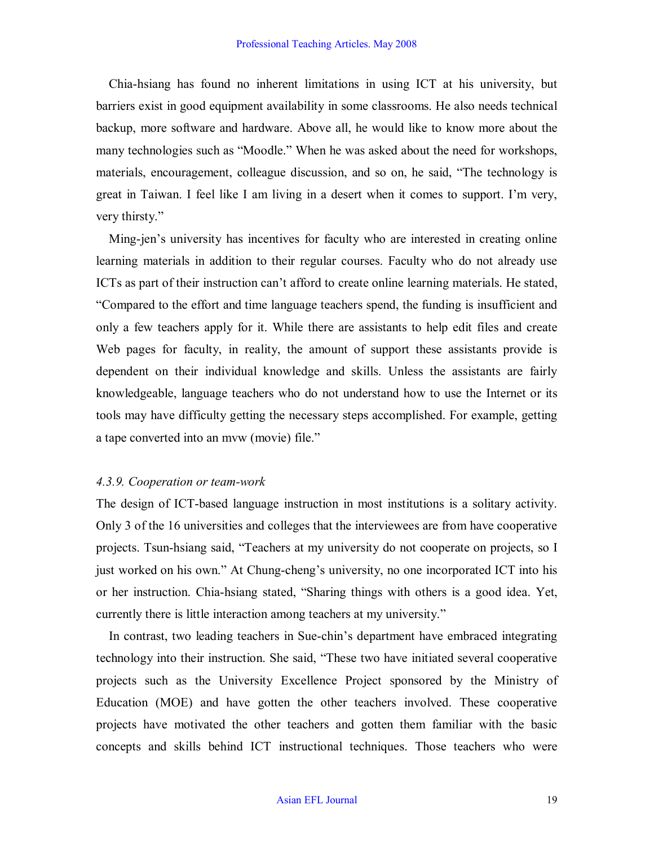Chia-hsiang has found no inherent limitations in using ICT at his university, but barriers exist in good equipment availability in some classrooms. He also needs technical backup, more software and hardware. Above all, he would like to know more about the many technologies such as "Moodle." When he was asked about the need for workshops, materials, encouragement, colleague discussion, and so on, he said, "The technology is great in Taiwan. I feel like I am living in a desert when it comes to support. I'm very, very thirsty."

Ming-jen's university has incentives for faculty who are interested in creating online learning materials in addition to their regular courses. Faculty who do not already use ICTs as part of their instruction can't afford to create online learning materials. He stated, "Compared to the effort and time language teachers spend, the funding is insufficient and only a few teachers apply for it. While there are assistants to help edit files and create Web pages for faculty, in reality, the amount of support these assistants provide is dependent on their individual knowledge and skills. Unless the assistants are fairly knowledgeable, language teachers who do not understand how to use the Internet or its tools may have difficulty getting the necessary steps accomplished. For example, getting a tape converted into an mvw (movie) file."

#### *4.3.9. Cooperation or teamwork*

The design of ICT-based language instruction in most institutions is a solitary activity. Only 3 of the 16 universities and colleges that the interviewees are from have cooperative projects. Tsun-hsiang said, "Teachers at my university do not cooperate on projects, so I just worked on his own." At Chung-cheng's university, no one incorporated ICT into his or her instruction. Chia-hsiang stated, "Sharing things with others is a good idea. Yet, currently there is little interaction among teachers at my university."

In contrast, two leading teachers in Sue-chin's department have embraced integrating technology into their instruction. She said, "These two have initiated several cooperative projects such as the University Excellence Project sponsored by the Ministry of Education (MOE) and have gotten the other teachers involved. These cooperative projects have motivated the other teachers and gotten them familiar with the basic concepts and skills behind ICT instructional techniques. Those teachers who were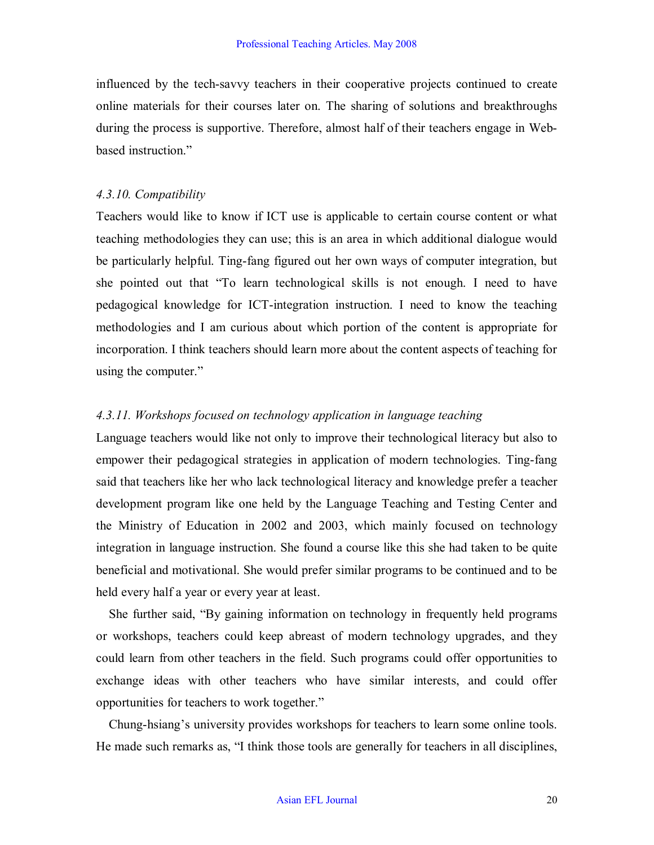influenced by the tech-savvy teachers in their cooperative projects continued to create online materials for their courses later on. The sharing of solutions and breakthroughs during the process is supportive. Therefore, almost half of their teachers engage in Webbased instruction."

#### *4.3.10. Compatibility*

Teachers would like to know if ICT use is applicable to certain course content or what teaching methodologies they can use; this is an area in which additional dialogue would be particularly helpful. Ting-fang figured out her own ways of computer integration, but she pointed out that "To learn technological skills is not enough. I need to have pedagogical knowledge for ICT-integration instruction. I need to know the teaching methodologies and I am curious about which portion of the content is appropriate for incorporation. I think teachers should learn more about the content aspects of teaching for using the computer."

#### *4.3.11. Workshops focused on technology application in language teaching*

Language teachers would like not only to improve their technological literacy but also to empower their pedagogical strategies in application of modern technologies. Ting-fang said that teachers like her who lack technological literacy and knowledge prefer a teacher development program like one held by the Language Teaching and Testing Center and the Ministry of Education in 2002 and 2003, which mainly focused on technology integration in language instruction. She found a course like this she had taken to be quite beneficial and motivational. She would prefer similar programs to be continued and to be held every half a year or every year at least.

She further said, "By gaining information on technology in frequently held programs or workshops, teachers could keep abreast of modern technology upgrades, and they could learn from other teachers in the field. Such programs could offer opportunities to exchange ideas with other teachers who have similar interests, and could offer opportunities for teachers to work together."

Chung-hsiang's university provides workshops for teachers to learn some online tools. He made such remarks as, "I think those tools are generally for teachers in all disciplines,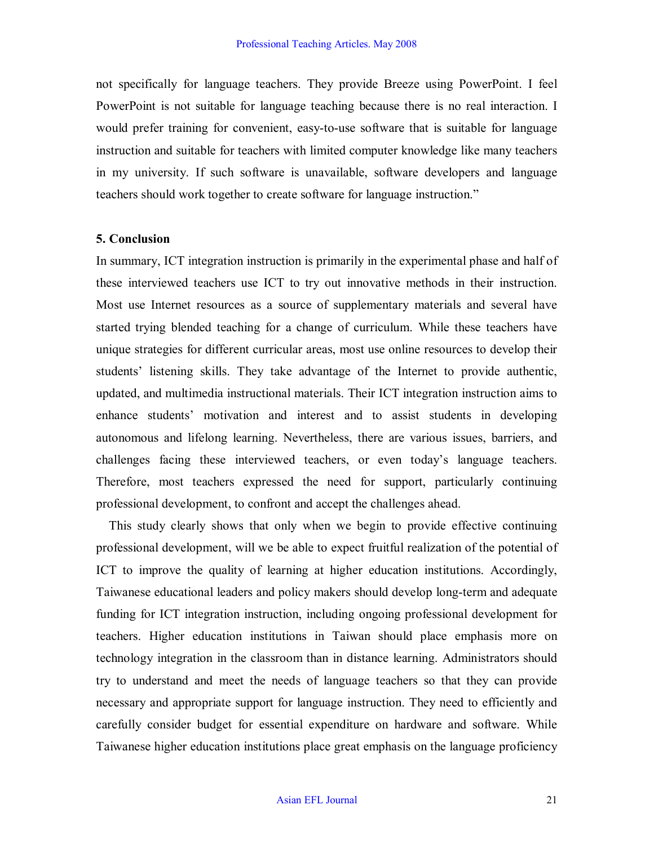not specifically for language teachers. They provide Breeze using PowerPoint. I feel PowerPoint is not suitable for language teaching because there is no real interaction. I would prefer training for convenient, easy-to-use software that is suitable for language instruction and suitable for teachers with limited computer knowledge like many teachers in my university. If such software is unavailable, software developers and language teachers should work together to create software for language instruction."

#### **5. Conclusion**

In summary, ICT integration instruction is primarily in the experimental phase and half of these interviewed teachers use ICT to try out innovative methods in their instruction. Most use Internet resources as a source of supplementary materials and several have started trying blended teaching for a change of curriculum. While these teachers have unique strategies for different curricular areas, most use online resources to develop their students' listening skills. They take advantage of the Internet to provide authentic, updated, and multimedia instructional materials. Their ICT integration instruction aims to enhance students' motivation and interest and to assist students in developing autonomous and lifelong learning. Nevertheless, there are various issues, barriers, and challenges facing these interviewed teachers, or even today's language teachers. Therefore, most teachers expressed the need for support, particularly continuing professional development, to confront and accept the challenges ahead.

This study clearly shows that only when we begin to provide effective continuing professional development, will we be able to expect fruitful realization of the potential of ICT to improve the quality of learning at higher education institutions. Accordingly, Taiwanese educational leaders and policy makers should develop long-term and adequate funding for ICT integration instruction, including ongoing professional development for teachers. Higher education institutions in Taiwan should place emphasis more on technology integration in the classroom than in distance learning. Administrators should try to understand and meet the needs of language teachers so that they can provide necessary and appropriate support for language instruction. They need to efficiently and carefully consider budget for essential expenditure on hardware and software. While Taiwanese higher education institutions place great emphasis on the language proficiency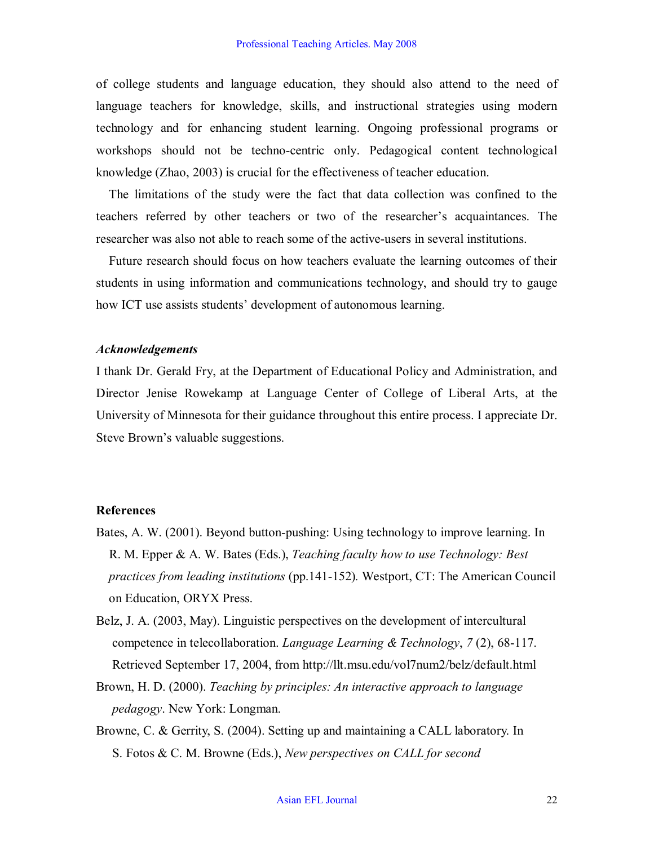of college students and language education, they should also attend to the need of language teachers for knowledge, skills, and instructional strategies using modern technology and for enhancing student learning. Ongoing professional programs or workshops should not be techno-centric only. Pedagogical content technological knowledge (Zhao, 2003) is crucial for the effectiveness of teacher education.

The limitations of the study were the fact that data collection was confined to the teachers referred by other teachers or two of the researcher's acquaintances. The researcher was also not able to reach some of the active-users in several institutions.

Future research should focus on how teachers evaluate the learning outcomes of their students in using information and communications technology, and should try to gauge how ICT use assists students' development of autonomous learning.

#### *Acknowledgements*

I thank Dr. Gerald Fry, at the Department of Educational Policy and Administration, and Director Jenise Rowekamp at Language Center of College of Liberal Arts, at the University of Minnesota for their guidance throughout this entire process. I appreciate Dr. Steve Brown's valuable suggestions.

#### **References**

- Bates, A. W. (2001). Beyond button-pushing: Using technology to improve learning. In R. M. Epper & A. W. Bates (Eds.), *Teaching faculty how to use Technology: Best practices from leading institutions* (pp.141-152). Westport, CT: The American Council on Education, ORYX Press.
- Belz, J. A. (2003, May). Linguistic perspectives on the development of intercultural competence in telecollaboration. *Language Learning & Technology*,  $7(2)$ , 68-117. Retrieved September 17, 2004, from http://llt.msu.edu/vol7num2/belz/default.html
- Brown, H. D. (2000). *Teaching by principles: An interactive approach to language pedagogy*. New York: Longman.
- Browne, C. & Gerrity, S. (2004). Setting up and maintaining a CALL laboratory. In S. Fotos & C. M. Browne (Eds.), *New perspectives on CALL for second*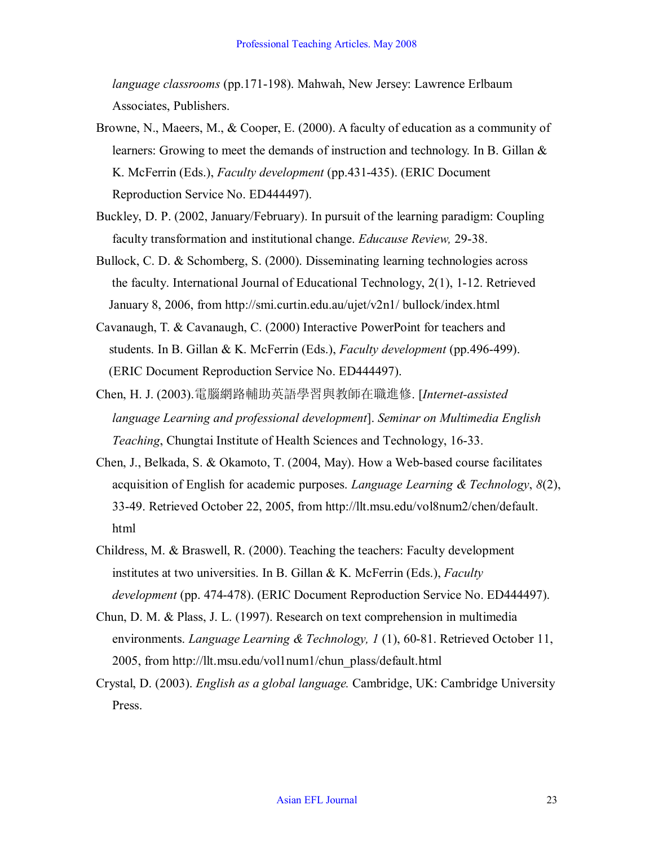*language classrooms* (pp.171-198). Mahwah, New Jersey: Lawrence Erlbaum Associates, Publishers.

- Browne, N., Maeers, M., & Cooper, E. (2000). A faculty of education as a community of learners: Growing to meet the demands of instruction and technology. In B. Gillan & K. McFerrin (Eds.), *Faculty development* (pp.431-435). (ERIC Document Reproduction Service No. ED444497).
- Buckley, D. P. (2002, January/February). In pursuit of the learning paradigm: Coupling faculty transformation and institutional change. *Educause Review*, 29-38.
- Bullock, C. D. & Schomberg, S. (2000). Disseminating learning technologies across the faculty. International Journal of Educational Technology, 2(1), 1-12. Retrieved January 8, 2006, from http://smi.curtin.edu.au/ujet/v2n1/ bullock/index.html
- Cavanaugh, T. & Cavanaugh, C. (2000) Interactive PowerPoint for teachers and students. In B. Gillan & K. McFerrin (Eds.), *Faculty development* (pp.496-499). (ERIC Document Reproduction Service No. ED444497).
- Chen, H. J. (2003).電腦網路輔助英語學習與教師在職進修. [*Internetassisted language Learning and professional development*]. *Seminar on Multimedia English Teaching*, Chungtai Institute of Health Sciences and Technology, 16-33.
- Chen, J., Belkada, S. & Okamoto, T. (2004, May). How a Web-based course facilitates acquisition of English for academic purposes. *Language Learning & Technology*, *8*(2), 3349. Retrieved October 22, 2005, from http://llt.msu.edu/vol8num2/chen/default. html
- Childress, M. & Braswell, R. (2000). Teaching the teachers: Faculty development institutes at two universities. In B. Gillan & K. McFerrin (Eds.), *Faculty development* (pp. 474-478). (ERIC Document Reproduction Service No. ED444497).
- Chun, D. M. & Plass, J. L. (1997). Research on text comprehension in multimedia environments. *Language Learning & Technology, 1* (1), 60-81. Retrieved October 11, 2005, from http://llt.msu.edu/vol1num1/chun\_plass/default.html
- Crystal, D. (2003). *English as a global language.* Cambridge, UK: Cambridge University Press.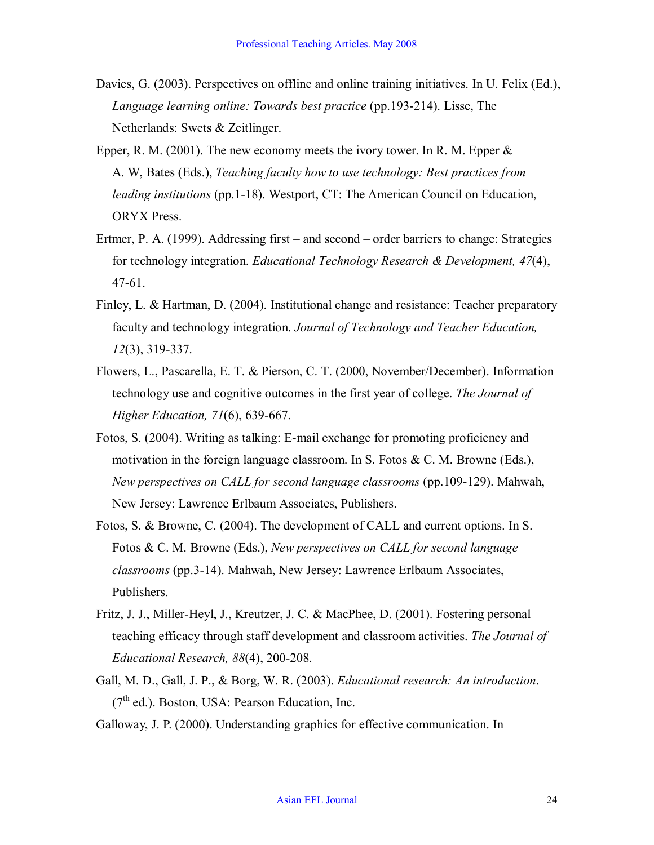- Davies, G. (2003). Perspectives on offline and online training initiatives. In U. Felix (Ed.), *Language learning online: Towards best practice* (pp.193-214). Lisse, The Netherlands: Swets & Zeitlinger.
- Epper, R. M. (2001). The new economy meets the ivory tower. In R. M. Epper  $\&$ A. W, Bates (Eds.), *Teaching faculty how to use technology: Best practices from leading institutions* (pp.1-18). Westport, CT: The American Council on Education, ORYX Press.
- Ertmer, P. A. (1999). Addressing first and second order barriers to change: Strategies for technology integration. *Educational Technology Research & Development, 47*(4), 47-61.
- Finley, L. & Hartman, D. (2004). Institutional change and resistance: Teacher preparatory faculty and technology integration. *Journal of Technology and Teacher Education, 12*(3), 319-337.
- Flowers, L., Pascarella, E. T. & Pierson, C. T. (2000, November/December). Information technology use and cognitive outcomes in the first year of college. *The Journal of Higher Education, 71(6), 639-667.*
- Fotos, S. (2004). Writing as talking: E-mail exchange for promoting proficiency and motivation in the foreign language classroom. In S. Fotos & C. M. Browne (Eds.), *New perspectives on CALL for second language classrooms* (pp.109-129). Mahwah, New Jersey: Lawrence Erlbaum Associates, Publishers.
- Fotos, S. & Browne, C. (2004). The development of CALL and current options. In S. Fotos & C. M. Browne (Eds.), *New perspectives on CALL for second language classrooms* (pp.314). Mahwah, New Jersey: Lawrence Erlbaum Associates, Publishers.
- Fritz, J. J., Miller-Heyl, J., Kreutzer, J. C. & MacPhee, D. (2001). Fostering personal teaching efficacy through staff development and classroom activities. *The Journal of Educational Research, 88(4), 200-208.*
- Gall, M. D., Gall, J. P., & Borg, W. R. (2003). *Educational research: An introduction*.  $(7<sup>th</sup>$  ed.). Boston, USA: Pearson Education, Inc.
- Galloway, J. P. (2000). Understanding graphics for effective communication. In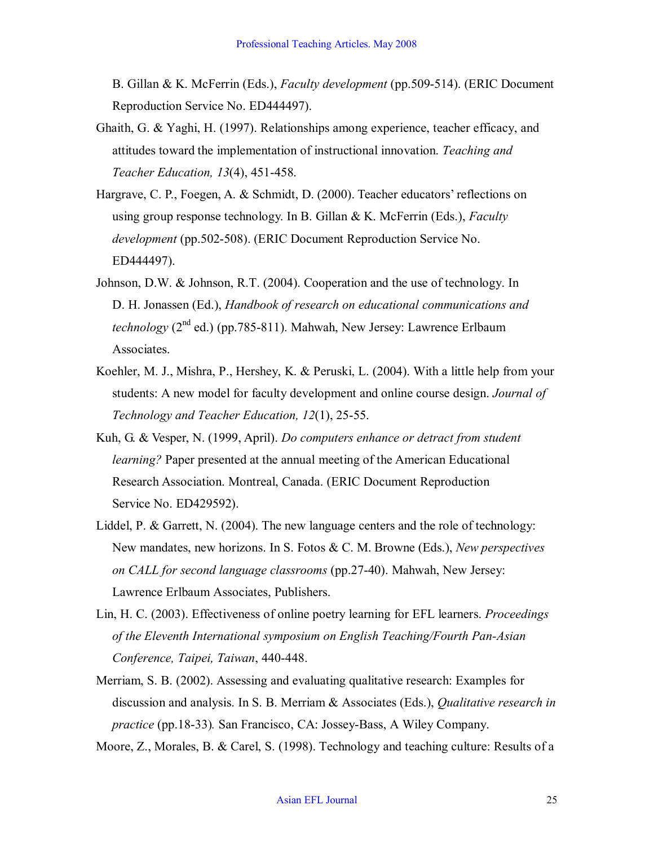B. Gillan & K. McFerrin (Eds.), *Faculty development* (pp.509514). (ERIC Document Reproduction Service No. ED444497).

- Ghaith, G. & Yaghi, H. (1997). Relationships among experience, teacher efficacy, and attitudes toward the implementation of instructional innovation. *Teaching and Teacher Education, 13(4), 451-458.*
- Hargrave, C. P., Foegen, A. & Schmidt, D. (2000). Teacher educators' reflections on using group response technology. In B. Gillan & K. McFerrin (Eds.), *Faculty development* (pp.502-508). (ERIC Document Reproduction Service No. ED444497).
- Johnson, D.W. & Johnson, R.T. (2004). Cooperation and the use of technology. In D. H. Jonassen (Ed.), *Handbook of research on educational communications and technology* ( $2<sup>nd</sup>$  ed.) (pp.785-811). Mahwah, New Jersey: Lawrence Erlbaum Associates.
- Koehler, M. J., Mishra, P., Hershey, K. & Peruski, L. (2004). With a little help from your students: A new model for faculty development and online course design. *Journal of Technology and Teacher Education, 12(1), 25-55.*
- Kuh, G. & Vesper, N. (1999, April). *Do computers enhance or detract from student learning?* Paper presented at the annual meeting of the American Educational Research Association. Montreal, Canada. (ERIC Document Reproduction Service No. ED429592).
- Liddel, P. & Garrett, N. (2004). The new language centers and the role of technology: New mandates, new horizons. In S. Fotos & C. M. Browne (Eds.), *New perspectives on CALL for second language classrooms* (pp.2740). Mahwah, New Jersey: Lawrence Erlbaum Associates, Publishers.
- Lin, H. C. (2003). Effectiveness of online poetry learning for EFL learners. *Proceedings of the Eleventh International symposium on English Teaching/Fourth Pan-Asian Conference, Taipei, Taiwan, 440-448.*
- Merriam, S. B. (2002). Assessing and evaluating qualitative research: Examples for discussion and analysis. In S. B. Merriam & Associates (Eds.), *Qualitative research in practice* (pp.18-33). San Francisco, CA: Jossey-Bass, A Wiley Company.

Moore, Z., Morales, B. & Carel, S. (1998). Technology and teaching culture: Results of a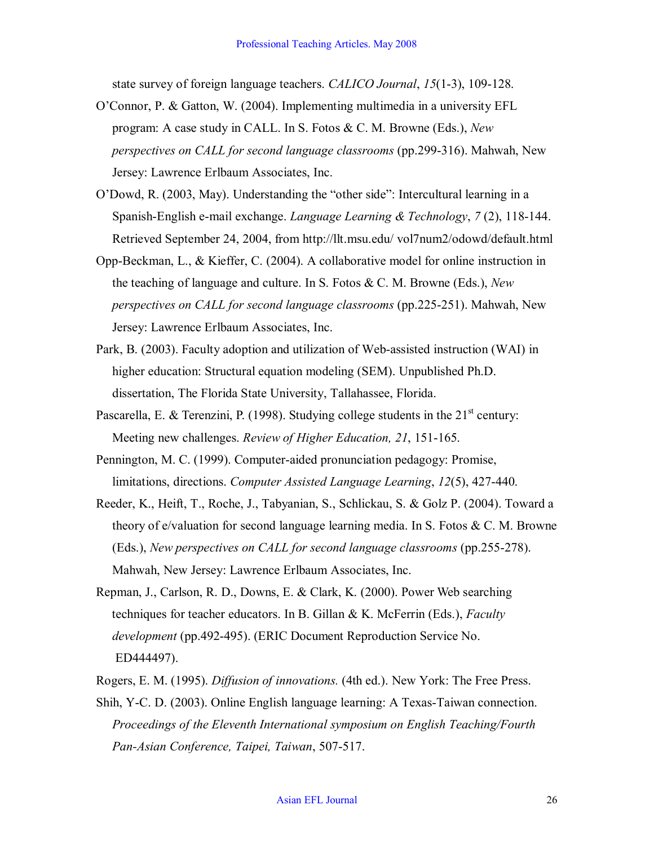state survey of foreign language teachers. *CALICO Journal*, 15(1-3), 109-128.

- O'Connor, P. & Gatton, W. (2004). Implementing multimedia in a university EFL program: A case study in CALL. In S. Fotos & C. M. Browne (Eds.), *New perspectives on CALL for second language classrooms* (pp.299-316). Mahwah, New Jersey: Lawrence Erlbaum Associates, Inc.
- O'Dowd, R. (2003, May). Understanding the "other side": Intercultural learning in a Spanish-English e-mail exchange. *Language Learning & Technology*,  $7(2)$ , 118-144. Retrieved September 24, 2004, from http://llt.msu.edu/ vol7num2/odowd/default.html
- Opp-Beckman, L., & Kieffer, C. (2004). A collaborative model for online instruction in the teaching of language and culture. In S. Fotos & C. M. Browne (Eds.), *New perspectives on CALL for second language classrooms* (pp.225251). Mahwah, New Jersey: Lawrence Erlbaum Associates, Inc.
- Park, B. (2003). Faculty adoption and utilization of Web-assisted instruction (WAI) in higher education: Structural equation modeling (SEM). Unpublished Ph.D. dissertation, The Florida State University, Tallahassee, Florida.
- Pascarella, E. & Terenzini, P. (1998). Studying college students in the  $21<sup>st</sup>$  century: Meeting new challenges. *Review of Higher Education*, 21, 151-165.
- Pennington, M. C. (1999). Computeraided pronunciation pedagogy: Promise, limitations, directions. *Computer Assisted Language Learning*,  $12(5)$ , 427-440.
- Reeder, K., Heift, T., Roche, J., Tabyanian, S., Schlickau, S. & Golz P. (2004). Toward a theory of e/valuation for second language learning media. In S. Fotos & C. M. Browne (Eds.), *New perspectives on CALL for second language classrooms* (pp.255278). Mahwah, New Jersey: Lawrence Erlbaum Associates, Inc.
- Repman, J., Carlson, R. D., Downs, E. & Clark, K. (2000). Power Web searching techniques for teacher educators. In B. Gillan & K. McFerrin (Eds.), *Faculty development* (pp.492495). (ERIC Document Reproduction Service No. ED444497).
- Rogers, E. M. (1995). *Diffusion of innovations.* (4th ed.). New York: The Free Press.
- Shih, Y-C. D. (2003). Online English language learning: A Texas-Taiwan connection. *Proceedings of the Eleventh International symposium on English Teaching/Fourth Pan-Asian Conference, Taipei, Taiwan, 507-517.*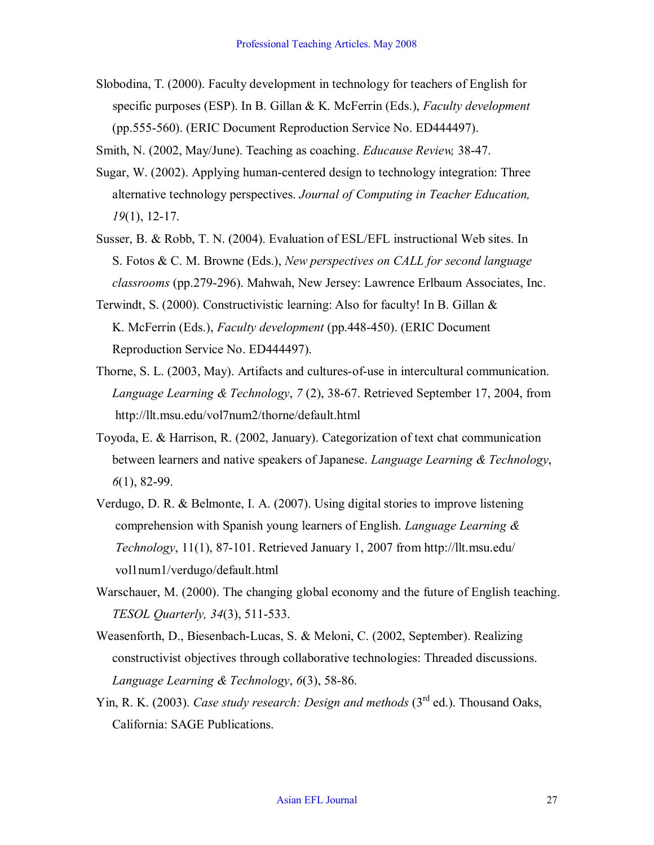Slobodina, T. (2000). Faculty development in technology for teachers of English for specific purposes (ESP). In B. Gillan & K. McFerrin (Eds.), *Faculty development* (pp.555560). (ERIC Document Reproduction Service No. ED444497).

Smith, N. (2002, May/June). Teaching as coaching. *Educause Review*, 38-47.

- Sugar, W. (2002). Applying human-centered design to technology integration: Three alternative technology perspectives. *Journal of Computing in Teacher Education, 19*(1), 12-17.
- Susser, B. & Robb, T. N. (2004). Evaluation of ESL/EFL instructional Web sites. In S. Fotos & C. M. Browne (Eds.), *New perspectives on CALL for second language classrooms* (pp.279-296). Mahwah, New Jersey: Lawrence Erlbaum Associates, Inc.
- Terwindt, S. (2000). Constructivistic learning: Also for faculty! In B. Gillan & K. McFerrin (Eds.), *Faculty development* (pp.448-450). (ERIC Document Reproduction Service No. ED444497).
- Thorne, S. L. (2003, May). Artifacts and cultures-of-use in intercultural communication. *Language Learning & Technology, 7 (2), 38-67. Retrieved September 17, 2004, from* http://llt.msu.edu/vol7num2/thorne/default.html
- Toyoda, E. & Harrison, R. (2002, January). Categorization of text chat communication between learners and native speakers of Japanese. *Language Learning & Technology*, *6*(1), 82-99.
- Verdugo, D. R. & Belmonte, I. A. (2007). Using digital stories to improve listening comprehension with Spanish young learners of English. *Language Learning & Technology*, 11(1), 87-101. Retrieved January 1, 2007 from http://llt.msu.edu/ vol1num1/verdugo/default.html
- Warschauer, M. (2000). The changing global economy and the future of English teaching. *TESOL Quarterly, 34(3), 511-533.*
- Weasenforth, D., Biesenbach-Lucas, S. & Meloni, C. (2002, September). Realizing constructivist objectives through collaborative technologies: Threaded discussions. *Language Learning & Technology*,  $6(3)$ , 58-86.
- Yin, R. K. (2003). *Case study research: Design and methods* (3<sup>rd</sup> ed.). Thousand Oaks, California: SAGE Publications.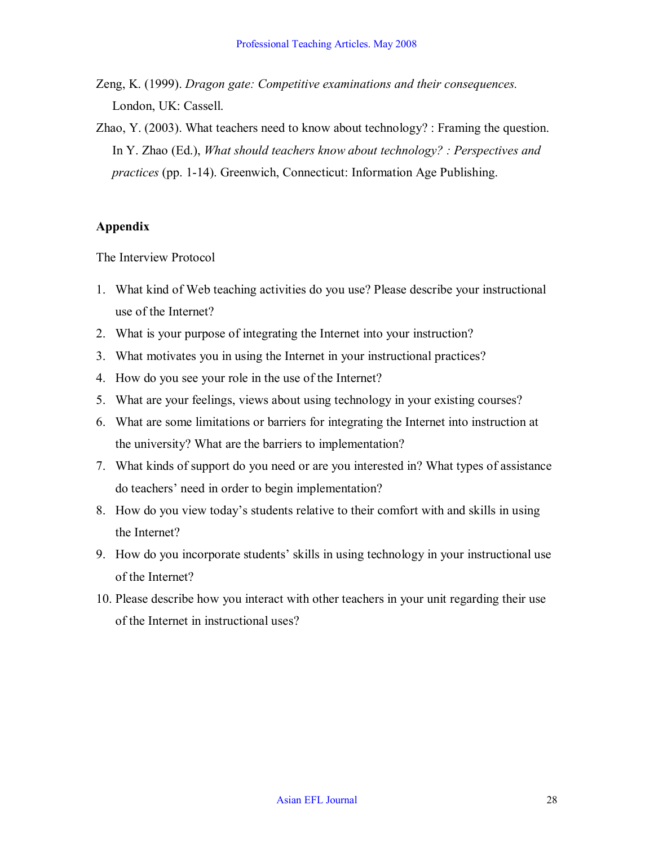- Zeng, K. (1999). *Dragon gate: Competitive examinations and their consequences.* London, UK: Cassell.
- Zhao, Y. (2003). What teachers need to know about technology? : Framing the question. In Y. Zhao (Ed.), *What should teachers know about technology? : Perspectives and practices* (pp. 1-14). Greenwich, Connecticut: Information Age Publishing.

## **Appendix**

The Interview Protocol

- 1. What kind of Web teaching activities do you use? Please describe your instructional use of the Internet?
- 2. What is your purpose of integrating the Internet into your instruction?
- 3. What motivates you in using the Internet in your instructional practices?
- 4. How do you see your role in the use of the Internet?
- 5. What are your feelings, views about using technology in your existing courses?
- 6. What are some limitations or barriers for integrating the Internet into instruction at the university? What are the barriers to implementation?
- 7. What kinds of support do you need or are you interested in? What types of assistance do teachers' need in order to begin implementation?
- 8. How do you view today's students relative to their comfort with and skills in using the Internet?
- 9. How do you incorporate students' skills in using technology in your instructional use of the Internet?
- 10. Please describe how you interact with other teachers in your unit regarding their use of the Internet in instructional uses?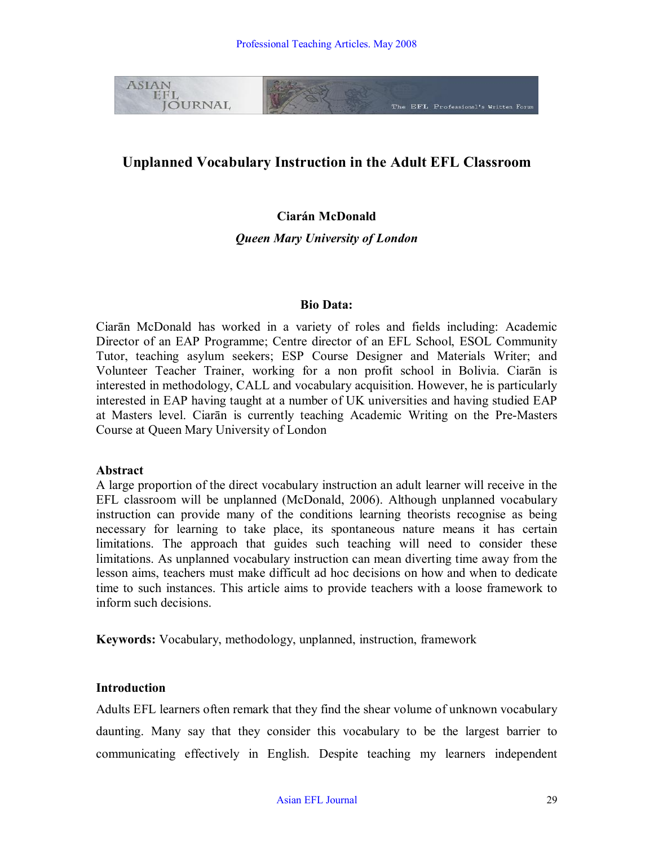

## **Unplanned Vocabulary Instruction in the Adult EFL Classroom**

## **Ciarán McDonald**

*Queen Mary University of London*

#### **Bio Data:**

Ciarān McDonald has worked in a variety of roles and fields including: Academic Director of an EAP Programme; Centre director of an EFL School, ESOL Community Tutor, teaching asylum seekers; ESP Course Designer and Materials Writer; and Volunteer Teacher Trainer, working for a non profit school in Bolivia. Ciarān is interested in methodology, CALL and vocabulary acquisition. However, he is particularly interested in EAP having taught at a number of UK universities and having studied EAP at Masters level. Ciarān is currently teaching Academic Writing on the Pre-Masters Course at Queen Mary University of London

#### **Abstract**

A large proportion of the direct vocabulary instruction an adult learner will receive in the EFL classroom will be unplanned (McDonald, 2006). Although unplanned vocabulary instruction can provide many of the conditions learning theorists recognise as being necessary for learning to take place, its spontaneous nature means it has certain limitations. The approach that guides such teaching will need to consider these limitations. As unplanned vocabulary instruction can mean diverting time away from the lesson aims, teachers must make difficult ad hoc decisions on how and when to dedicate time to such instances. This article aims to provide teachers with a loose framework to inform such decisions.

**Keywords:** Vocabulary, methodology, unplanned, instruction, framework

## **Introduction**

Adults EFL learners often remark that they find the shear volume of unknown vocabulary daunting. Many say that they consider this vocabulary to be the largest barrier to communicating effectively in English. Despite teaching my learners independent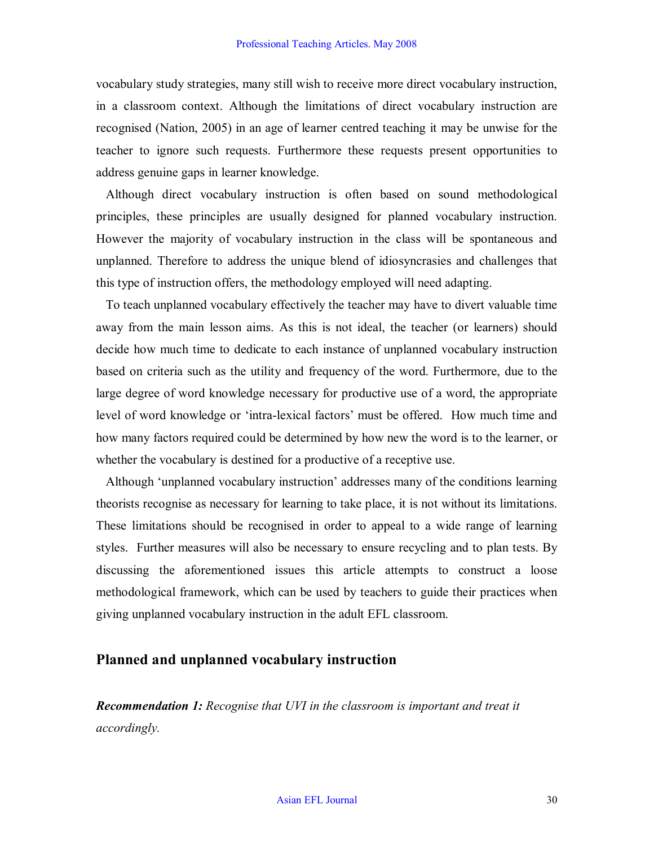vocabulary study strategies, many still wish to receive more direct vocabulary instruction, in a classroom context. Although the limitations of direct vocabulary instruction are recognised (Nation, 2005) in an age of learner centred teaching it may be unwise for the teacher to ignore such requests. Furthermore these requests present opportunities to address genuine gaps in learner knowledge.

Although direct vocabulary instruction is often based on sound methodological principles, these principles are usually designed for planned vocabulary instruction. However the majority of vocabulary instruction in the class will be spontaneous and unplanned. Therefore to address the unique blend of idiosyncrasies and challenges that this type of instruction offers, the methodology employed will need adapting.

To teach unplanned vocabulary effectively the teacher may have to divert valuable time away from the main lesson aims. As this is not ideal, the teacher (or learners) should decide how much time to dedicate to each instance of unplanned vocabulary instruction based on criteria such as the utility and frequency of the word. Furthermore, due to the large degree of word knowledge necessary for productive use of a word, the appropriate level of word knowledge or 'intra-lexical factors' must be offered. How much time and how many factors required could be determined by how new the word is to the learner, or whether the vocabulary is destined for a productive of a receptive use.

Although 'unplanned vocabulary instruction' addresses many of the conditions learning theorists recognise as necessary for learning to take place, it is not without its limitations. These limitations should be recognised in order to appeal to a wide range of learning styles. Further measures will also be necessary to ensure recycling and to plan tests. By discussing the aforementioned issues this article attempts to construct a loose methodological framework, which can be used by teachers to guide their practices when giving unplanned vocabulary instruction in the adult EFL classroom.

## **Planned and unplanned vocabulary instruction**

*Recommendation 1: Recognise that UVI in the classroom is important and treat it accordingly.*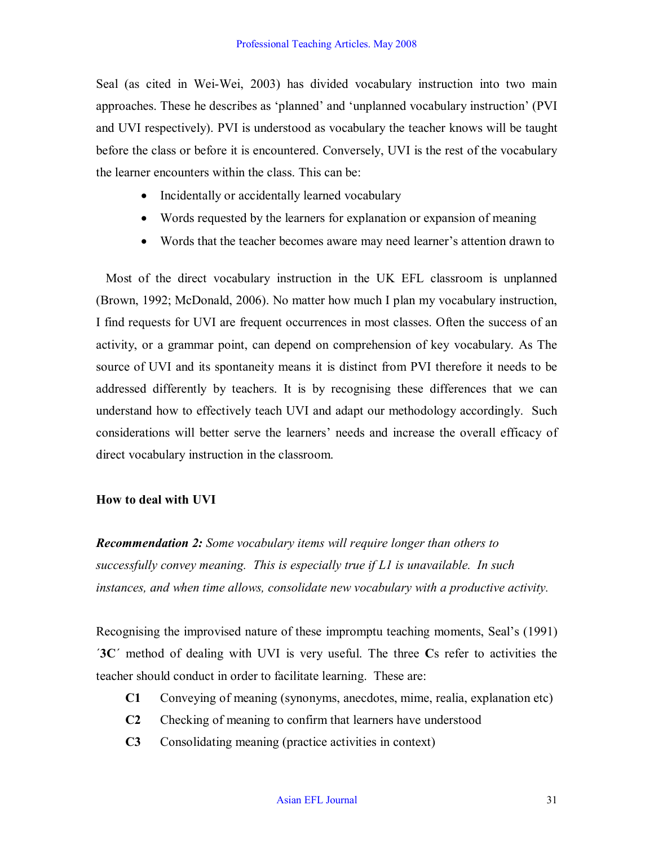Seal (as cited in Wei-Wei, 2003) has divided vocabulary instruction into two main approaches. These he describes as 'planned' and 'unplanned vocabulary instruction' (PVI and UVI respectively). PVI is understood as vocabulary the teacher knows will be taught before the class or before it is encountered. Conversely, UVI is the rest of the vocabulary the learner encounters within the class. This can be:

- Incidentally or accidentally learned vocabulary
- Words requested by the learners for explanation or expansion of meaning
- · Words that the teacher becomes aware may need learner's attention drawn to

Most of the direct vocabulary instruction in the UK EFL classroom is unplanned (Brown, 1992; McDonald, 2006). No matter how much I plan my vocabulary instruction, I find requests for UVI are frequent occurrences in most classes. Often the success of an activity, or a grammar point, can depend on comprehension of key vocabulary. As The source of UVI and its spontaneity means it is distinct from PVI therefore it needs to be addressed differently by teachers. It is by recognising these differences that we can understand how to effectively teach UVI and adapt our methodology accordingly. Such considerations will better serve the learners' needs and increase the overall efficacy of direct vocabulary instruction in the classroom.

## **How to deal with UVI**

*Recommendation 2: Some vocabulary items will require longer than others to successfully convey meaning. This is especially true if L1 is unavailable. In such instances, and when time allows, consolidate new vocabulary with a productive activity.*

Recognising the improvised nature of these impromptu teaching moments, Seal's (1991) ´**3C**´ method of dealing with UVI is very useful. The three **C**s refer to activities the teacher should conduct in order to facilitate learning. These are:

- **C1** Conveying of meaning (synonyms, anecdotes, mime, realia, explanation etc)
- **C2** Checking of meaning to confirm that learners have understood
- **C3** Consolidating meaning (practice activities in context)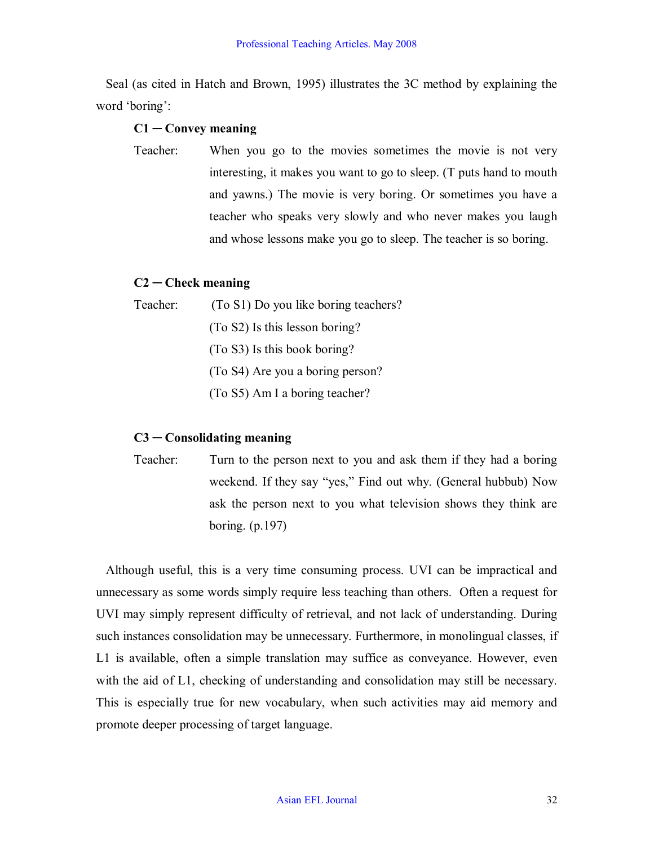Seal (as cited in Hatch and Brown, 1995) illustrates the 3C method by explaining the word 'boring':

### **C1 ─ Convey meaning**

Teacher: When you go to the movies sometimes the movie is not very interesting, it makes you want to go to sleep. (T puts hand to mouth and yawns.) The movie is very boring. Or sometimes you have a teacher who speaks very slowly and who never makes you laugh and whose lessons make you go to sleep. The teacher is so boring.

### **C2 ─ Check meaning**

| Teacher: | (To S1) Do you like boring teachers? |  |  |  |  |  |  |
|----------|--------------------------------------|--|--|--|--|--|--|
|          | (To S2) Is this lesson boring?       |  |  |  |  |  |  |
|          | (To S3) Is this book boring?         |  |  |  |  |  |  |
|          | (To S4) Are you a boring person?     |  |  |  |  |  |  |
|          | (To S5) Am I a boring teacher?       |  |  |  |  |  |  |

## **C3 ─ Consolidating meaning**

Teacher: Turn to the person next to you and ask them if they had a boring weekend. If they say "yes," Find out why. (General hubbub) Now ask the person next to you what television shows they think are boring. (p.197)

Although useful, this is a very time consuming process. UVI can be impractical and unnecessary as some words simply require less teaching than others. Often a request for UVI may simply represent difficulty of retrieval, and not lack of understanding. During such instances consolidation may be unnecessary. Furthermore, in monolingual classes, if L1 is available, often a simple translation may suffice as conveyance. However, even with the aid of L1, checking of understanding and consolidation may still be necessary. This is especially true for new vocabulary, when such activities may aid memory and promote deeper processing of target language.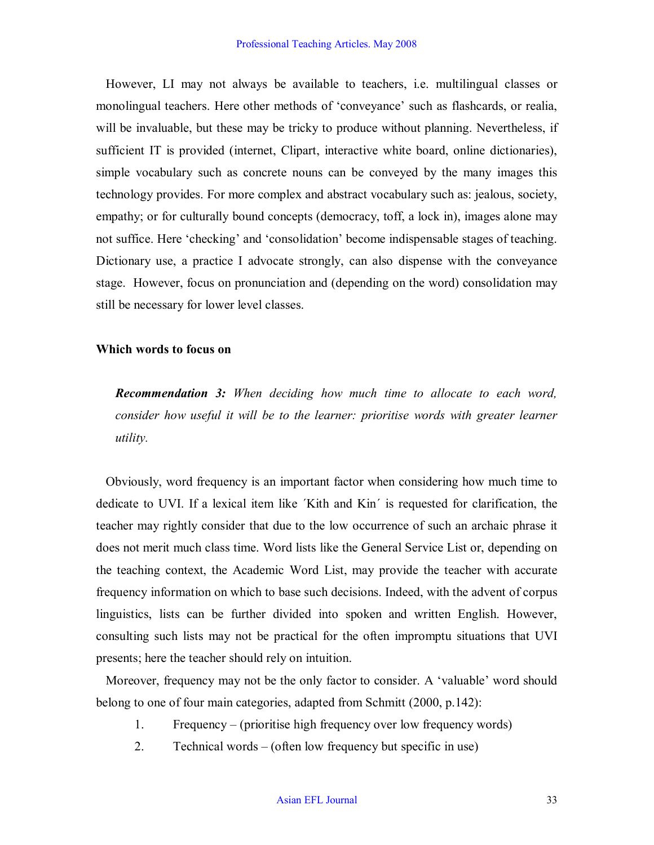However, LI may not always be available to teachers, i.e. multilingual classes or monolingual teachers. Here other methods of 'conveyance' such as flashcards, or realia, will be invaluable, but these may be tricky to produce without planning. Nevertheless, if sufficient IT is provided (internet, Clipart, interactive white board, online dictionaries), simple vocabulary such as concrete nouns can be conveyed by the many images this technology provides. For more complex and abstract vocabulary such as: jealous, society, empathy; or for culturally bound concepts (democracy, toff, a lock in), images alone may not suffice. Here 'checking' and 'consolidation' become indispensable stages of teaching. Dictionary use, a practice I advocate strongly, can also dispense with the conveyance stage. However, focus on pronunciation and (depending on the word) consolidation may still be necessary for lower level classes.

### **Which words to focus on**

*Recommendation 3: When deciding how much time to allocate to each word, consider how useful it will be to the learner: prioritise words with greater learner utility.*

Obviously, word frequency is an important factor when considering how much time to dedicate to UVI. If a lexical item like ´Kith and Kin´ is requested for clarification, the teacher may rightly consider that due to the low occurrence of such an archaic phrase it does not merit much class time. Word lists like the General Service List or, depending on the teaching context, the Academic Word List, may provide the teacher with accurate frequency information on which to base such decisions. Indeed, with the advent of corpus linguistics, lists can be further divided into spoken and written English. However, consulting such lists may not be practical for the often impromptu situations that UVI presents; here the teacher should rely on intuition.

Moreover, frequency may not be the only factor to consider. A 'valuable' word should belong to one of four main categories, adapted from Schmitt (2000, p.142):

- 1. Frequency (prioritise high frequency over low frequency words)
- 2. Technical words (often low frequency but specific in use)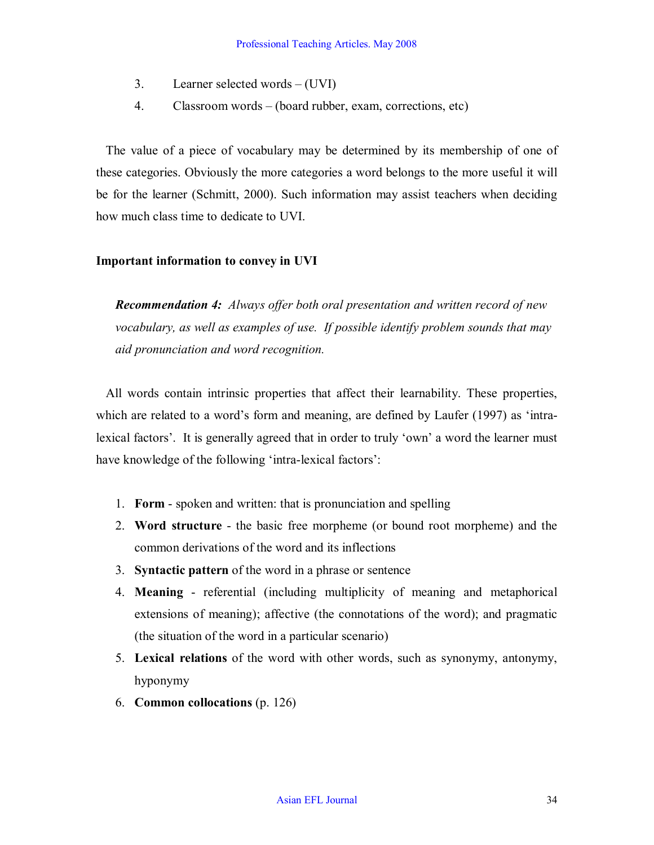- 3. Learner selected words (UVI)
- 4. Classroom words (board rubber, exam, corrections, etc)

The value of a piece of vocabulary may be determined by its membership of one of these categories. Obviously the more categories a word belongs to the more useful it will be for the learner (Schmitt, 2000). Such information may assist teachers when deciding how much class time to dedicate to UVI.

## **Important information to convey in UVI**

*Recommendation 4: Always offer both oral presentation and written record of new vocabulary, as well as examples of use. If possible identify problem sounds that may aid pronunciation and word recognition.*

All words contain intrinsic properties that affect their learnability. These properties, which are related to a word's form and meaning, are defined by Laufer (1997) as 'intralexical factors'. It is generally agreed that in order to truly 'own' a word the learner must have knowledge of the following 'intra-lexical factors':

- 1. **Form** spoken and written: that is pronunciation and spelling
- 2. **Word structure** the basic free morpheme (or bound root morpheme) and the common derivations of the word and its inflections
- 3. **Syntactic pattern** of the word in a phrase or sentence
- 4. **Meaning** referential (including multiplicity of meaning and metaphorical extensions of meaning); affective (the connotations of the word); and pragmatic (the situation of the word in a particular scenario)
- 5. **Lexical relations** of the word with other words, such as synonymy, antonymy, hyponymy
- 6. **Common collocations** (p. 126)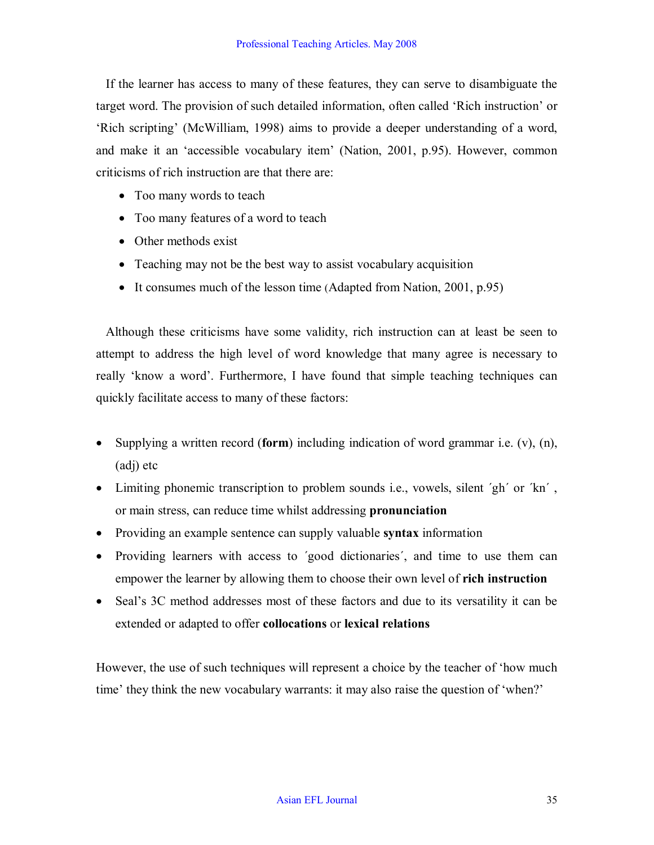If the learner has access to many of these features, they can serve to disambiguate the target word. The provision of such detailed information, often called 'Rich instruction' or 'Rich scripting' (McWilliam, 1998) aims to provide a deeper understanding of a word, and make it an 'accessible vocabulary item' (Nation, 2001, p.95). However, common criticisms of rich instruction are that there are:

- Too many words to teach
- Too many features of a word to teach
- Other methods exist
- Teaching may not be the best way to assist vocabulary acquisition
- It consumes much of the lesson time (Adapted from Nation, 2001, p.95)

Although these criticisms have some validity, rich instruction can at least be seen to attempt to address the high level of word knowledge that many agree is necessary to really 'know a word'. Furthermore, I have found that simple teaching techniques can quickly facilitate access to many of these factors:

- · Supplying a written record (**form**) including indication of word grammar i.e. (v), (n), (adj) etc
- Limiting phonemic transcription to problem sounds i.e., vowels, silent 'gh' or 'kn', or main stress, can reduce time whilst addressing **pronunciation**
- · Providing an example sentence can supply valuable **syntax** information
- Providing learners with access to 'good dictionaries', and time to use them can empower the learner by allowing them to choose their own level of **rich instruction**
- Seal's 3C method addresses most of these factors and due to its versatility it can be extended or adapted to offer **collocations** or **lexical relations**

However, the use of such techniques will represent a choice by the teacher of 'how much time' they think the new vocabulary warrants: it may also raise the question of 'when?'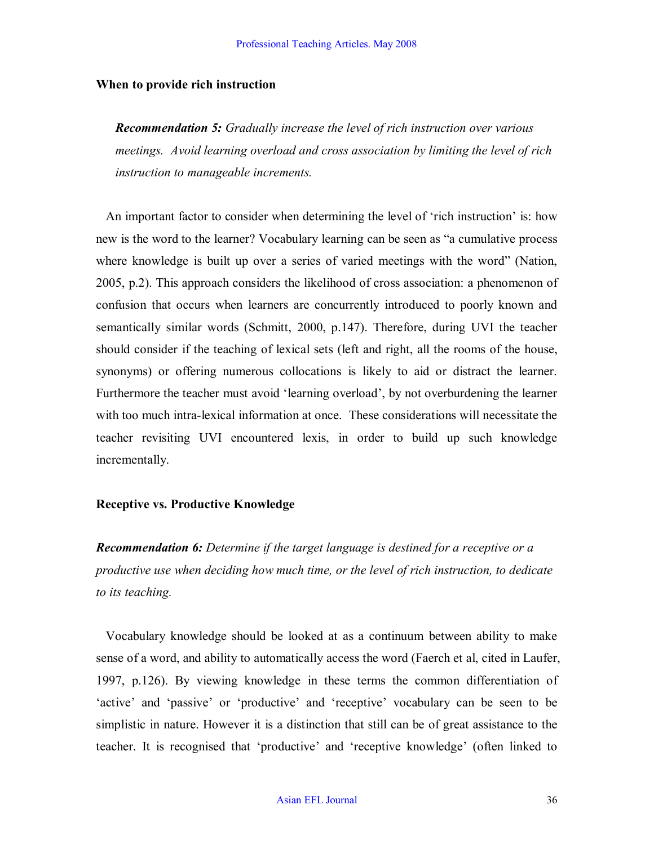#### **When to provide rich instruction**

*Recommendation 5: Gradually increase the level of rich instruction over various meetings. Avoid learning overload and cross association by limiting the level of rich instruction to manageable increments.*

An important factor to consider when determining the level of 'rich instruction' is: how new is the word to the learner? Vocabulary learning can be seen as "a cumulative process where knowledge is built up over a series of varied meetings with the word" (Nation, 2005, p.2). This approach considers the likelihood of cross association: a phenomenon of confusion that occurs when learners are concurrently introduced to poorly known and semantically similar words (Schmitt, 2000, p.147). Therefore, during UVI the teacher should consider if the teaching of lexical sets (left and right, all the rooms of the house, synonyms) or offering numerous collocations is likely to aid or distract the learner. Furthermore the teacher must avoid 'learning overload', by not overburdening the learner with too much intra-lexical information at once. These considerations will necessitate the teacher revisiting UVI encountered lexis, in order to build up such knowledge incrementally.

#### **Receptive vs. Productive Knowledge**

*Recommendation 6: Determine if the target language is destined for a receptive or a productive use when deciding how much time, or the level of rich instruction, to dedicate to its teaching.*

Vocabulary knowledge should be looked at as a continuum between ability to make sense of a word, and ability to automatically access the word (Faerch et al, cited in Laufer, 1997, p.126). By viewing knowledge in these terms the common differentiation of 'active' and 'passive' or 'productive' and 'receptive' vocabulary can be seen to be simplistic in nature. However it is a distinction that still can be of great assistance to the teacher. It is recognised that 'productive' and 'receptive knowledge' (often linked to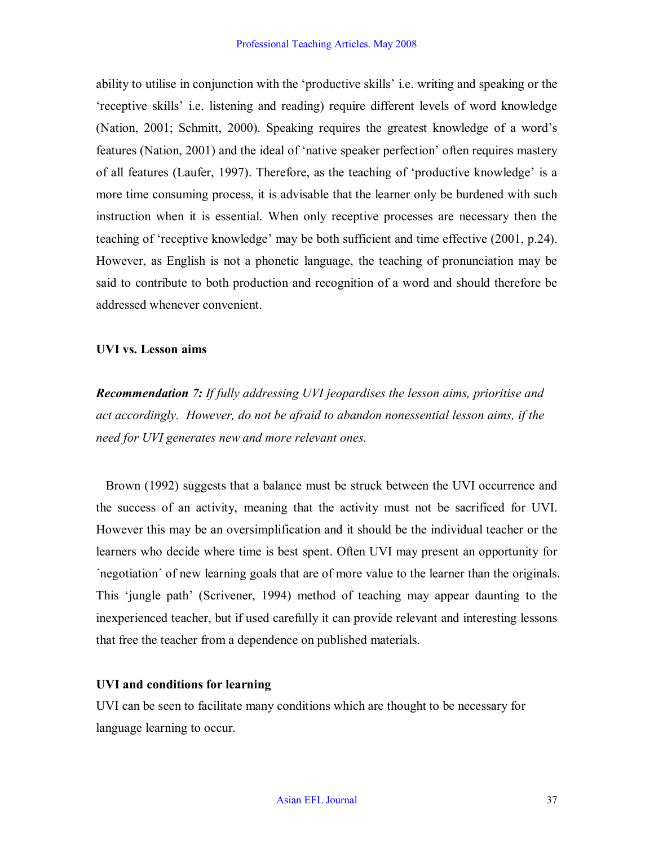ability to utilise in conjunction with the 'productive skills' i.e. writing and speaking or the 'receptive skills' i.e. listening and reading) require different levels of word knowledge (Nation, 2001; Schmitt, 2000). Speaking requires the greatest knowledge of a word's features (Nation, 2001) and the ideal of 'native speaker perfection' often requires mastery of all features (Laufer, 1997). Therefore, as the teaching of 'productive knowledge' is a more time consuming process, it is advisable that the learner only be burdened with such instruction when it is essential. When only receptive processes are necessary then the teaching of 'receptive knowledge' may be both sufficient and time effective (2001, p.24). However, as English is not a phonetic language, the teaching of pronunciation may be said to contribute to both production and recognition of a word and should therefore be addressed whenever convenient.

### **UVI vs. Lesson aims**

*Recommendation 7: If fully addressing UVI jeopardises the lesson aims, prioritise and act accordingly. However, do not be afraid to abandon nonessential lesson aims, if the need for UVI generates new and more relevant ones.*

Brown (1992) suggests that a balance must be struck between the UVI occurrence and the success of an activity, meaning that the activity must not be sacrificed for UVI. However this may be an oversimplification and it should be the individual teacher or the learners who decide where time is best spent. Often UVI may present an opportunity for ´negotiation´ of new learning goals that are of more value to the learner than the originals. This 'jungle path' (Scrivener, 1994) method of teaching may appear daunting to the inexperienced teacher, but if used carefully it can provide relevant and interesting lessons that free the teacher from a dependence on published materials.

## **UVI and conditions for learning**

UVI can be seen to facilitate many conditions which are thought to be necessary for language learning to occur.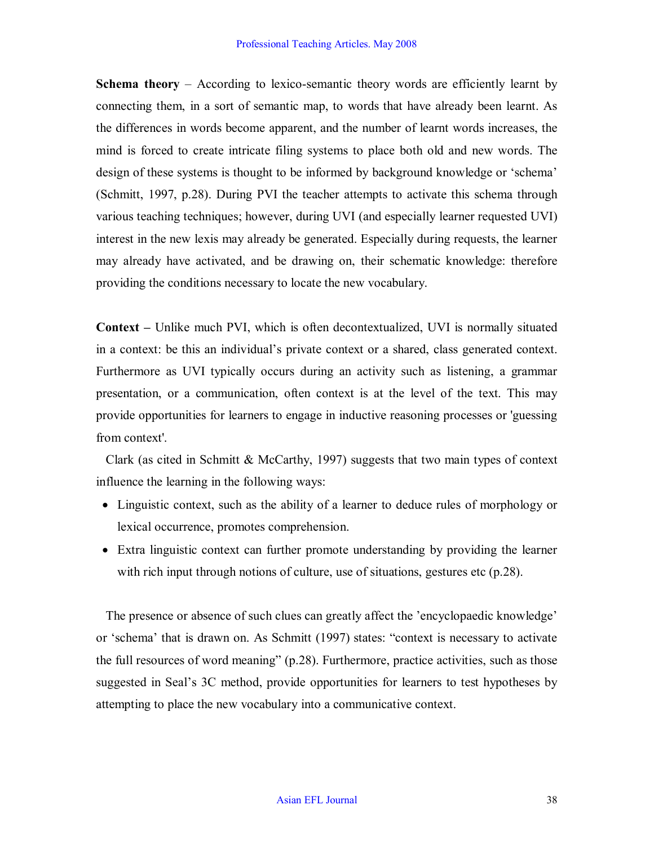**Schema theory** – According to lexico-semantic theory words are efficiently learnt by connecting them, in a sort of semantic map, to words that have already been learnt. As the differences in words become apparent, and the number of learnt words increases, the mind is forced to create intricate filing systems to place both old and new words. The design of these systems is thought to be informed by background knowledge or 'schema' (Schmitt, 1997, p.28). During PVI the teacher attempts to activate this schema through various teaching techniques; however, during UVI (and especially learner requested UVI) interest in the new lexis may already be generated. Especially during requests, the learner may already have activated, and be drawing on, their schematic knowledge: therefore providing the conditions necessary to locate the new vocabulary.

**Context –** Unlike much PVI, which is often decontextualized, UVI is normally situated in a context: be this an individual's private context or a shared, class generated context. Furthermore as UVI typically occurs during an activity such as listening, a grammar presentation, or a communication, often context is at the level of the text. This may provide opportunities for learners to engage in inductive reasoning processes or 'guessing from context'.

Clark (as cited in Schmitt & McCarthy, 1997) suggests that two main types of context influence the learning in the following ways:

- Linguistic context, such as the ability of a learner to deduce rules of morphology or lexical occurrence, promotes comprehension.
- Extra linguistic context can further promote understanding by providing the learner with rich input through notions of culture, use of situations, gestures etc  $(p.28)$ .

The presence or absence of such clues can greatly affect the 'encyclopaedic knowledge' or 'schema' that is drawn on. As Schmitt (1997) states: "context is necessary to activate the full resources of word meaning" (p.28). Furthermore, practice activities, such as those suggested in Seal's 3C method, provide opportunities for learners to test hypotheses by attempting to place the new vocabulary into a communicative context.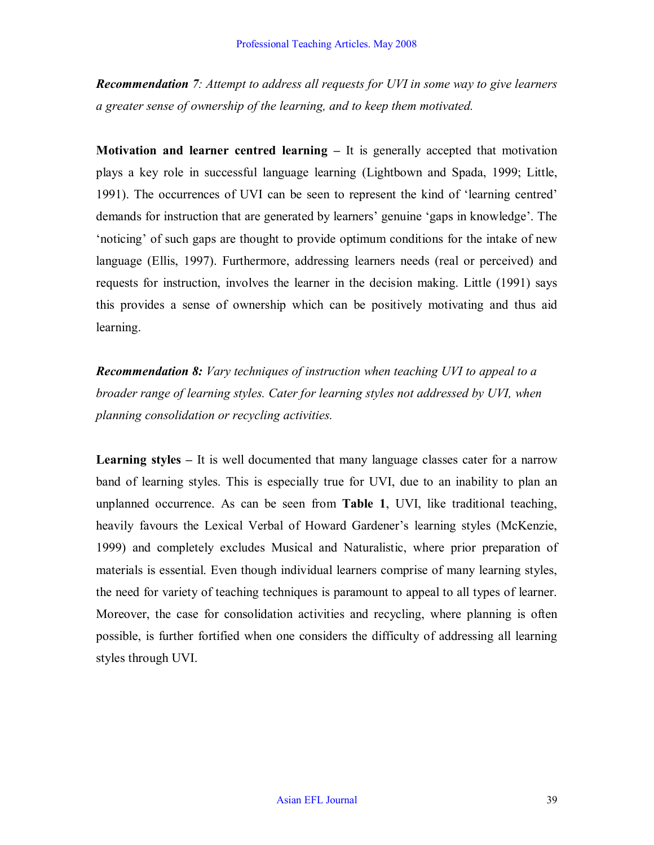*Recommendation 7: Attempt to address all requests for UVI in some way to give learners a greater sense of ownership of the learning, and to keep them motivated.*

**Motivation and learner centred learning –** It is generally accepted that motivation plays a key role in successful language learning (Lightbown and Spada, 1999; Little, 1991). The occurrences of UVI can be seen to represent the kind of 'learning centred' demands for instruction that are generated by learners' genuine 'gaps in knowledge'. The 'noticing' of such gaps are thought to provide optimum conditions for the intake of new language (Ellis, 1997). Furthermore, addressing learners needs (real or perceived) and requests for instruction, involves the learner in the decision making. Little (1991) says this provides a sense of ownership which can be positively motivating and thus aid learning.

*Recommendation 8: Vary techniques of instruction when teaching UVI to appeal to a broader range of learning styles. Cater for learning styles not addressed by UVI, when planning consolidation or recycling activities.*

**Learning styles –** It is well documented that many language classes cater for a narrow band of learning styles. This is especially true for UVI, due to an inability to plan an unplanned occurrence. As can be seen from **Table 1**, UVI, like traditional teaching, heavily favours the Lexical Verbal of Howard Gardener's learning styles (McKenzie, 1999) and completely excludes Musical and Naturalistic, where prior preparation of materials is essential. Even though individual learners comprise of many learning styles, the need for variety of teaching techniques is paramount to appeal to all types of learner. Moreover, the case for consolidation activities and recycling, where planning is often possible, is further fortified when one considers the difficulty of addressing all learning styles through UVI.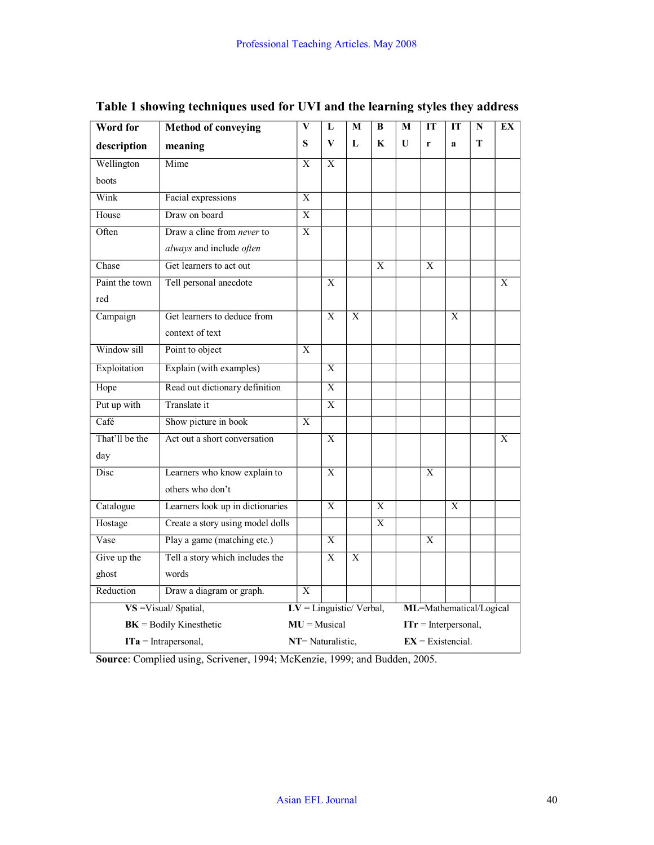| Word for                  | <b>Method of conveying</b>       | $\overline{\mathbf{V}}$   | L              | M                       | $\bf{B}$       | M            | IT                     | IT             | N | EX       |  |
|---------------------------|----------------------------------|---------------------------|----------------|-------------------------|----------------|--------------|------------------------|----------------|---|----------|--|
| description               | meaning                          | S                         | V              | L                       | $\mathbf K$    | $\mathbf{U}$ | r                      | $\mathbf{a}$   | T |          |  |
| Wellington                | Mime                             | $\overline{X}$            | $\overline{X}$ |                         |                |              |                        |                |   |          |  |
| boots                     |                                  |                           |                |                         |                |              |                        |                |   |          |  |
| Wink                      | Facial expressions               | $\overline{X}$            |                |                         |                |              |                        |                |   |          |  |
| House                     | Draw on board                    | $\overline{\mathrm{X}}$   |                |                         |                |              |                        |                |   |          |  |
| Often                     | Draw a cline from never to       | X                         |                |                         |                |              |                        |                |   |          |  |
|                           | always and include often         |                           |                |                         |                |              |                        |                |   |          |  |
| Chase                     | Get learners to act out          |                           |                |                         | $\overline{X}$ |              | $\overline{X}$         |                |   |          |  |
| Paint the town            | Tell personal anecdote           |                           | X              |                         |                |              |                        |                |   | $\bf{X}$ |  |
| red                       |                                  |                           |                |                         |                |              |                        |                |   |          |  |
| Campaign                  | Get learners to deduce from      |                           | $\mathbf{X}$   | $\mathbf{X}$            |                |              |                        | X              |   |          |  |
|                           | context of text                  |                           |                |                         |                |              |                        |                |   |          |  |
| Window sill               | Point to object                  | $\mathbf{X}$              |                |                         |                |              |                        |                |   |          |  |
| Exploitation              | Explain (with examples)          |                           | X              |                         |                |              |                        |                |   |          |  |
| Hope                      | Read out dictionary definition   |                           | $\overline{X}$ |                         |                |              |                        |                |   |          |  |
| Put up with               | Translate it                     |                           | $\overline{X}$ |                         |                |              |                        |                |   |          |  |
| Café                      | Show picture in book             | X                         |                |                         |                |              |                        |                |   |          |  |
| That'll be the            | Act out a short conversation     |                           | $\overline{X}$ |                         |                |              |                        |                |   | X        |  |
| day                       |                                  |                           |                |                         |                |              |                        |                |   |          |  |
| Disc                      | Learners who know explain to     |                           | $\overline{X}$ |                         |                |              | $\overline{X}$         |                |   |          |  |
|                           | others who don't                 |                           |                |                         |                |              |                        |                |   |          |  |
| Catalogue                 | Learners look up in dictionaries |                           | $\overline{X}$ |                         | $\overline{X}$ |              |                        | $\overline{X}$ |   |          |  |
| Hostage                   | Create a story using model dolls |                           |                |                         | $\overline{X}$ |              |                        |                |   |          |  |
| Vase                      | Play a game (matching etc.)      |                           | X              |                         |                |              | X                      |                |   |          |  |
| Give up the               | Tell a story which includes the  |                           | X              | $\overline{X}$          |                |              |                        |                |   |          |  |
| ghost                     | words                            |                           |                |                         |                |              |                        |                |   |          |  |
| Reduction                 | Draw a diagram or graph.         | $\overline{X}$            |                |                         |                |              |                        |                |   |          |  |
| VS = Visual/ Spatial,     |                                  | $LV =$ Linguistic/Verbal, |                | ML=Mathematical/Logical |                |              |                        |                |   |          |  |
| $BK =$ Bodily Kinesthetic |                                  | $MU =$ Musical            |                |                         |                |              | $ITr = Interpersonal,$ |                |   |          |  |
| $ITa = Intrapersonal,$    |                                  | NT= Naturalistic,         |                |                         |                |              | $EX = Existencial.$    |                |   |          |  |

## **Table 1 showing techniques used for UVI and the learning styles they address**

**Source**: Complied using, Scrivener, 1994; McKenzie, 1999; and Budden, 2005.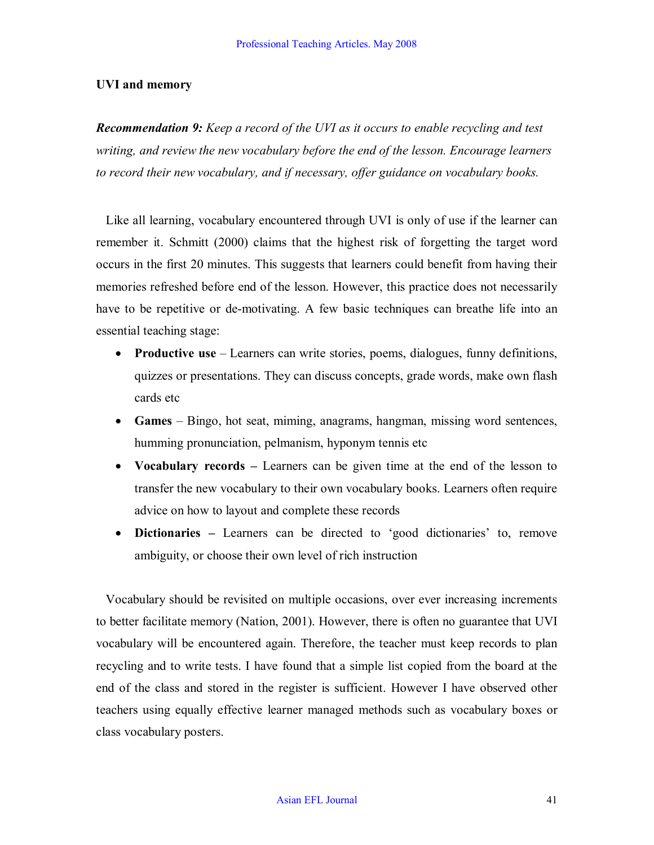### **UVI and memory**

*Recommendation 9: Keep a record of the UVI as it occurs to enable recycling and test writing, and review the new vocabulary before the end of the lesson. Encourage learners to record their new vocabulary, and if necessary, offer guidance on vocabulary books.*

Like all learning, vocabulary encountered through UVI is only of use if the learner can remember it. Schmitt (2000) claims that the highest risk of forgetting the target word occurs in the first 20 minutes. This suggests that learners could benefit from having their memories refreshed before end of the lesson. However, this practice does not necessarily have to be repetitive or de-motivating. A few basic techniques can breathe life into an essential teaching stage:

- · **Productive use** Learners can write stories, poems, dialogues, funny definitions, quizzes or presentations. They can discuss concepts, grade words, make own flash cards etc
- · **Games** Bingo, hot seat, miming, anagrams, hangman, missing word sentences, humming pronunciation, pelmanism, hyponym tennis etc
- **Vocabulary records** Learners can be given time at the end of the lesson to transfer the new vocabulary to their own vocabulary books. Learners often require advice on how to layout and complete these records
- · **Dictionaries –** Learners can be directed to 'good dictionaries' to, remove ambiguity, or choose their own level of rich instruction

Vocabulary should be revisited on multiple occasions, over ever increasing increments to better facilitate memory (Nation, 2001). However, there is often no guarantee that UVI vocabulary will be encountered again. Therefore, the teacher must keep records to plan recycling and to write tests. I have found that a simple list copied from the board at the end of the class and stored in the register is sufficient. However I have observed other teachers using equally effective learner managed methods such as vocabulary boxes or class vocabulary posters.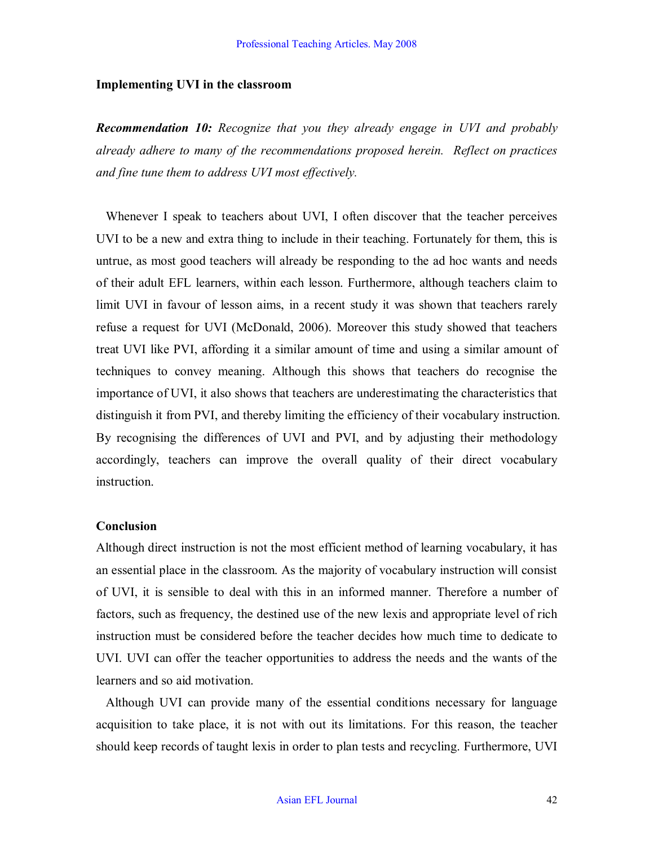#### **Implementing UVI in the classroom**

*Recommendation 10: Recognize that you they already engage in UVI and probably already adhere to many of the recommendations proposed herein. Reflect on practices and fine tune them to address UVI most effectively.*

Whenever I speak to teachers about UVI, I often discover that the teacher perceives UVI to be a new and extra thing to include in their teaching. Fortunately for them, this is untrue, as most good teachers will already be responding to the ad hoc wants and needs of their adult EFL learners, within each lesson. Furthermore, although teachers claim to limit UVI in favour of lesson aims, in a recent study it was shown that teachers rarely refuse a request for UVI (McDonald, 2006). Moreover this study showed that teachers treat UVI like PVI, affording it a similar amount of time and using a similar amount of techniques to convey meaning. Although this shows that teachers do recognise the importance of UVI, it also shows that teachers are underestimating the characteristics that distinguish it from PVI, and thereby limiting the efficiency of their vocabulary instruction. By recognising the differences of UVI and PVI, and by adjusting their methodology accordingly, teachers can improve the overall quality of their direct vocabulary instruction.

#### **Conclusion**

Although direct instruction is not the most efficient method of learning vocabulary, it has an essential place in the classroom. As the majority of vocabulary instruction will consist of UVI, it is sensible to deal with this in an informed manner. Therefore a number of factors, such as frequency, the destined use of the new lexis and appropriate level of rich instruction must be considered before the teacher decides how much time to dedicate to UVI. UVI can offer the teacher opportunities to address the needs and the wants of the learners and so aid motivation.

Although UVI can provide many of the essential conditions necessary for language acquisition to take place, it is not with out its limitations. For this reason, the teacher should keep records of taught lexis in order to plan tests and recycling. Furthermore, UVI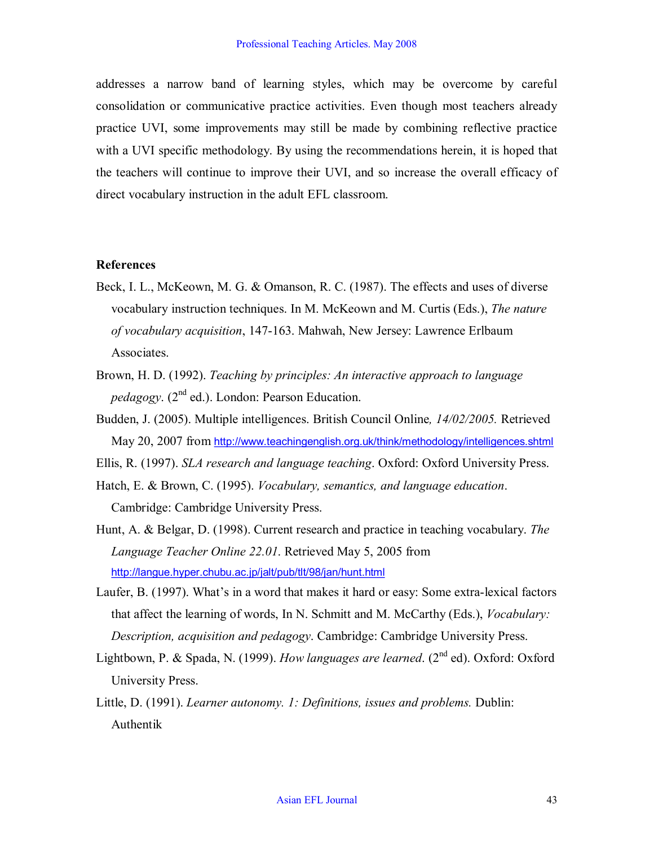addresses a narrow band of learning styles, which may be overcome by careful consolidation or communicative practice activities. Even though most teachers already practice UVI, some improvements may still be made by combining reflective practice with a UVI specific methodology. By using the recommendations herein, it is hoped that the teachers will continue to improve their UVI, and so increase the overall efficacy of direct vocabulary instruction in the adult EFL classroom.

#### **References**

- Beck, I. L., McKeown, M. G. & Omanson, R. C. (1987). The effects and uses of diverse vocabulary instruction techniques. In M. McKeown and M. Curtis (Eds.), *The nature of vocabulary acquisition*, 147163. Mahwah, New Jersey: Lawrence Erlbaum Associates.
- Brown, H. D. (1992). *Teaching by principles: An interactive approach to language pedagogy.* (2<sup>nd</sup> ed.). London: Pearson Education.
- Budden, J. (2005). Multiple intelligences. British Council Online*, 14/02/2005.* Retrieved May 20, 2007 from http://www.teachingenglish.org.uk/think/methodology/intelligences.shtml
- Ellis, R. (1997). *SLA research and language teaching*. Oxford: Oxford University Press.
- Hatch, E. & Brown, C. (1995). *Vocabulary, semantics, and language education*. Cambridge: Cambridge University Press.
- Hunt, A. & Belgar, D. (1998). Current research and practice in teaching vocabulary. *The Language Teacher Online 22.01*. Retrieved May 5, 2005 from http://langue.hyper.chubu.ac.jp/jalt/pub/tlt/98/jan/hunt.html
- Laufer, B. (1997). What's in a word that makes it hard or easy: Some extra-lexical factors that affect the learning of words, In N. Schmitt and M. McCarthy (Eds.), *Vocabulary: Description, acquisition and pedagogy*. Cambridge: Cambridge University Press.
- Lightbown, P. & Spada, N. (1999). *How languages are learned*. (2<sup>nd</sup> ed). Oxford: Oxford University Press.
- Little, D. (1991). *Learner autonomy. 1: Definitions, issues and problems.* Dublin: Authentik